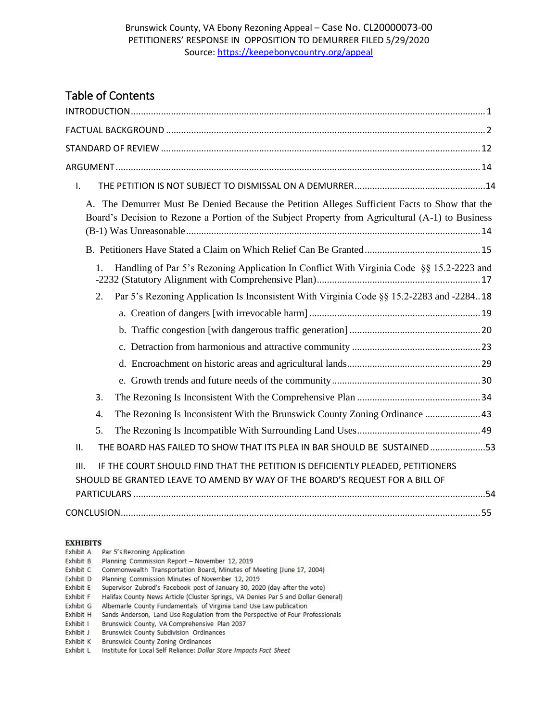# Table of Contents

| I.                                                                                                                                                                                                             |  |
|----------------------------------------------------------------------------------------------------------------------------------------------------------------------------------------------------------------|--|
| The Demurrer Must Be Denied Because the Petition Alleges Sufficient Facts to Show that the<br>$\mathbf{A}$<br>Board's Decision to Rezone a Portion of the Subject Property from Agricultural (A-1) to Business |  |
|                                                                                                                                                                                                                |  |
| Handling of Par 5's Rezoning Application In Conflict With Virginia Code §§ 15.2-2223 and<br>1.                                                                                                                 |  |
| Par 5's Rezoning Application Is Inconsistent With Virginia Code §§ 15.2-2283 and -228418<br>2.                                                                                                                 |  |
|                                                                                                                                                                                                                |  |
|                                                                                                                                                                                                                |  |
|                                                                                                                                                                                                                |  |
|                                                                                                                                                                                                                |  |
|                                                                                                                                                                                                                |  |
| 3.                                                                                                                                                                                                             |  |
| The Rezoning Is Inconsistent With the Brunswick County Zoning Ordinance  43<br>4.                                                                                                                              |  |
| 5.                                                                                                                                                                                                             |  |
| THE BOARD HAS FAILED TO SHOW THAT ITS PLEA IN BAR SHOULD BE SUSTAINED53<br>ΙΙ.                                                                                                                                 |  |
| IF THE COURT SHOULD FIND THAT THE PETITION IS DEFICIENTLY PLEADED, PETITIONERS<br>III.<br>SHOULD BE GRANTED LEAVE TO AMEND BY WAY OF THE BOARD'S REQUEST FOR A BILL OF                                         |  |
|                                                                                                                                                                                                                |  |
|                                                                                                                                                                                                                |  |

#### **EXHIBITS**

| Exhibit A | Par 5's Rezoning Application |  |
|-----------|------------------------------|--|
|-----------|------------------------------|--|

- Exhibit B Planning Commission Report November 12, 2019
- Exhibit C Commonwealth Transportation Board, Minutes of Meeting (June 17, 2004)
- 
- Exhibit D Planning Commission Minutes of November 12, 2019<br>Exhibit E Supervisor Zubrod's Facebook post of January 30, 2020 (day after the vote)
- 
- 
- Exhibit F Halifax County News Article (Cluster Springs, VA Denies Par 5 and Dollar General)<br>Exhibit G Albemarle County Fundamentals of Virginia Land Use Law publication<br>Exhibit H Sands Anderson, Land Use Regulation from th
- 
- Exhibit J Brunswick County Subdivision Ordinances
- Exhibit K Brunswick County Zoning Ordinances
- Exhibit L Institute for Local Self Reliance: Dollar Store Impacts Fact Sheet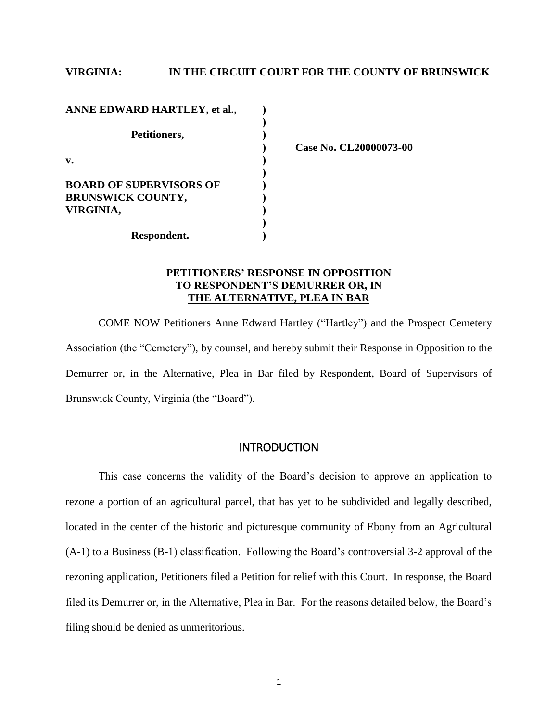# **VIRGINIA: IN THE CIRCUIT COURT FOR THE COUNTY OF BRUNSWICK**

| ANNE EDWARD HARTLEY, et al.,   |  |
|--------------------------------|--|
|                                |  |
| Petitioners,                   |  |
|                                |  |
| v.                             |  |
|                                |  |
| <b>BOARD OF SUPERVISORS OF</b> |  |
| <b>BRUNSWICK COUNTY,</b>       |  |
| VIRGINIA,                      |  |
|                                |  |
| Respondent.                    |  |

**) Case No. CL20000073-00**

# **PETITIONERS' RESPONSE IN OPPOSITION TO RESPONDENT'S DEMURRER OR, IN THE ALTERNATIVE, PLEA IN BAR**

COME NOW Petitioners Anne Edward Hartley ("Hartley") and the Prospect Cemetery Association (the "Cemetery"), by counsel, and hereby submit their Response in Opposition to the Demurrer or, in the Alternative, Plea in Bar filed by Respondent, Board of Supervisors of Brunswick County, Virginia (the "Board").

# **INTRODUCTION**

<span id="page-1-0"></span>This case concerns the validity of the Board's decision to approve an application to rezone a portion of an agricultural parcel, that has yet to be subdivided and legally described, located in the center of the historic and picturesque community of Ebony from an Agricultural (A-1) to a Business (B-1) classification. Following the Board's controversial 3-2 approval of the rezoning application, Petitioners filed a Petition for relief with this Court. In response, the Board filed its Demurrer or, in the Alternative, Plea in Bar. For the reasons detailed below, the Board's filing should be denied as unmeritorious.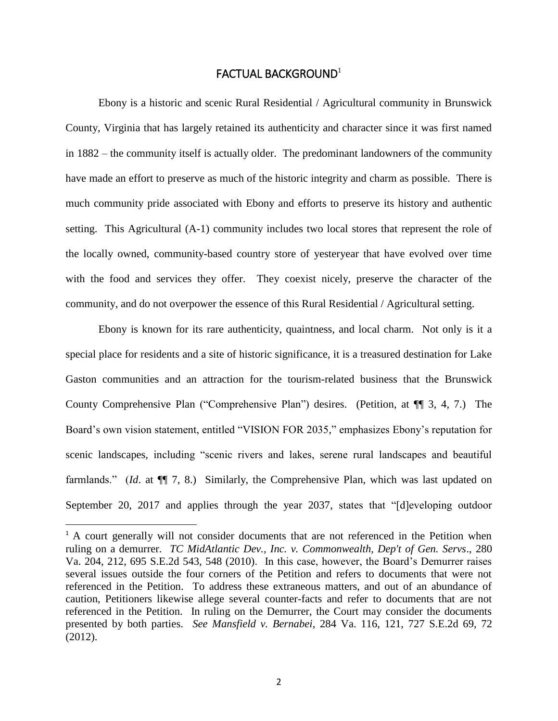### FACTUAL BACKGROUND<sup>1</sup>

<span id="page-2-0"></span>Ebony is a historic and scenic Rural Residential / Agricultural community in Brunswick County, Virginia that has largely retained its authenticity and character since it was first named in 1882 – the community itself is actually older. The predominant landowners of the community have made an effort to preserve as much of the historic integrity and charm as possible. There is much community pride associated with Ebony and efforts to preserve its history and authentic setting. This Agricultural (A-1) community includes two local stores that represent the role of the locally owned, community-based country store of yesteryear that have evolved over time with the food and services they offer. They coexist nicely, preserve the character of the community, and do not overpower the essence of this Rural Residential / Agricultural setting.

Ebony is known for its rare authenticity, quaintness, and local charm. Not only is it a special place for residents and a site of historic significance, it is a treasured destination for Lake Gaston communities and an attraction for the tourism-related business that the Brunswick County Comprehensive Plan ("Comprehensive Plan") desires. (Petition, at ¶¶ 3, 4, 7.) The Board's own vision statement, entitled "VISION FOR 2035," emphasizes Ebony's reputation for scenic landscapes, including "scenic rivers and lakes, serene rural landscapes and beautiful farmlands." (*Id*. at ¶¶ 7, 8.) Similarly, the Comprehensive Plan, which was last updated on September 20, 2017 and applies through the year 2037, states that "[d]eveloping outdoor

l

<sup>&</sup>lt;sup>1</sup> A court generally will not consider documents that are not referenced in the Petition when ruling on a demurrer. *TC MidAtlantic Dev., Inc. v. Commonwealth, Dep't of Gen. Servs*., 280 Va. 204, 212, 695 S.E.2d 543, 548 (2010). In this case, however, the Board's Demurrer raises several issues outside the four corners of the Petition and refers to documents that were not referenced in the Petition. To address these extraneous matters, and out of an abundance of caution, Petitioners likewise allege several counter-facts and refer to documents that are not referenced in the Petition. In ruling on the Demurrer, the Court may consider the documents presented by both parties. *See Mansfield v. Bernabei*, 284 Va. 116, 121, 727 S.E.2d 69, 72 (2012).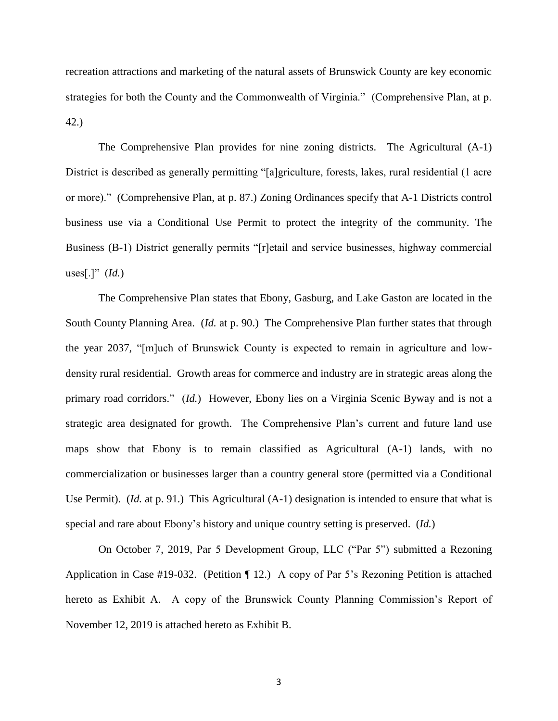recreation attractions and marketing of the natural assets of Brunswick County are key economic strategies for both the County and the Commonwealth of Virginia." (Comprehensive Plan, at p. 42.)

The Comprehensive Plan provides for nine zoning districts. The Agricultural (A-1) District is described as generally permitting "[a]griculture, forests, lakes, rural residential (1 acre or more)." (Comprehensive Plan, at p. 87.) Zoning Ordinances specify that A-1 Districts control business use via a Conditional Use Permit to protect the integrity of the community. The Business (B-1) District generally permits "[r]etail and service businesses, highway commercial uses[.]"  $(Id.)$ 

The Comprehensive Plan states that Ebony, Gasburg, and Lake Gaston are located in the South County Planning Area. (*Id.* at p. 90.) The Comprehensive Plan further states that through the year 2037, "[m]uch of Brunswick County is expected to remain in agriculture and lowdensity rural residential. Growth areas for commerce and industry are in strategic areas along the primary road corridors." (*Id.*) However, Ebony lies on a Virginia Scenic Byway and is not a strategic area designated for growth. The Comprehensive Plan's current and future land use maps show that Ebony is to remain classified as Agricultural (A-1) lands, with no commercialization or businesses larger than a country general store (permitted via a Conditional Use Permit). (*Id.* at p. 91.) This Agricultural (A-1) designation is intended to ensure that what is special and rare about Ebony's history and unique country setting is preserved. (*Id.*)

On October 7, 2019, Par 5 Development Group, LLC ("Par 5") submitted a Rezoning Application in Case #19-032. (Petition ¶ 12.) A copy of Par 5's Rezoning Petition is attached hereto as Exhibit A. A copy of the Brunswick County Planning Commission's Report of November 12, 2019 is attached hereto as Exhibit B.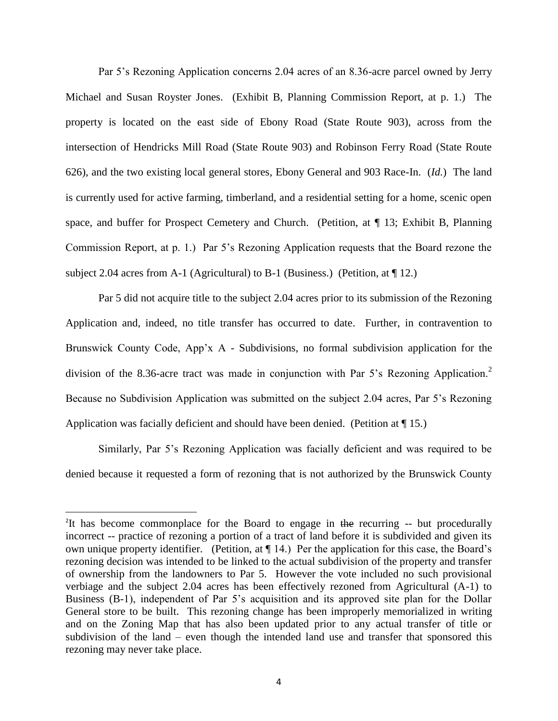Par 5's Rezoning Application concerns 2.04 acres of an 8.36-acre parcel owned by Jerry Michael and Susan Royster Jones. (Exhibit B, Planning Commission Report, at p. 1.) The property is located on the east side of Ebony Road (State Route 903), across from the intersection of Hendricks Mill Road (State Route 903) and Robinson Ferry Road (State Route 626), and the two existing local general stores, Ebony General and 903 Race-In. (*Id.*) The land is currently used for active farming, timberland, and a residential setting for a home, scenic open space, and buffer for Prospect Cemetery and Church. (Petition, at ¶ 13; Exhibit B, Planning Commission Report, at p. 1.) Par 5's Rezoning Application requests that the Board rezone the subject 2.04 acres from A-1 (Agricultural) to B-1 (Business.) (Petition, at  $\P$  12.)

Par 5 did not acquire title to the subject 2.04 acres prior to its submission of the Rezoning Application and, indeed, no title transfer has occurred to date. Further, in contravention to Brunswick County Code, App'x A - Subdivisions, no formal subdivision application for the division of the 8.36-acre tract was made in conjunction with Par 5's Rezoning Application.<sup>2</sup> Because no Subdivision Application was submitted on the subject 2.04 acres, Par 5's Rezoning Application was facially deficient and should have been denied. (Petition at ¶ 15.)

Similarly, Par 5's Rezoning Application was facially deficient and was required to be denied because it requested a form of rezoning that is not authorized by the Brunswick County

 $\overline{a}$ 

<sup>&</sup>lt;sup>2</sup>It has become commonplace for the Board to engage in the recurring -- but procedurally incorrect -- practice of rezoning a portion of a tract of land before it is subdivided and given its own unique property identifier. (Petition, at ¶ 14.) Per the application for this case, the Board's rezoning decision was intended to be linked to the actual subdivision of the property and transfer of ownership from the landowners to Par 5. However the vote included no such provisional verbiage and the subject 2.04 acres has been effectively rezoned from Agricultural (A-1) to Business (B-1), independent of Par 5's acquisition and its approved site plan for the Dollar General store to be built. This rezoning change has been improperly memorialized in writing and on the Zoning Map that has also been updated prior to any actual transfer of title or subdivision of the land – even though the intended land use and transfer that sponsored this rezoning may never take place.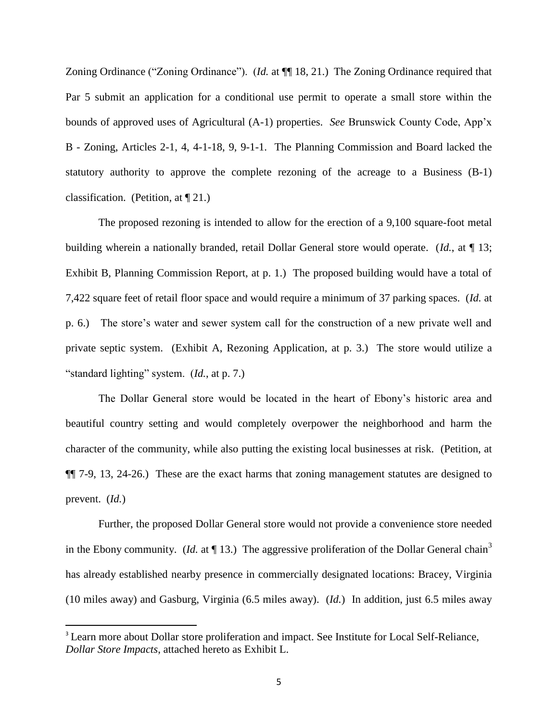Zoning Ordinance ("Zoning Ordinance"). (*Id.* at  $\P$  18, 21.) The Zoning Ordinance required that Par 5 submit an application for a conditional use permit to operate a small store within the bounds of approved uses of Agricultural (A-1) properties. *See* Brunswick County Code, App'x B - Zoning, Articles 2-1, 4, 4-1-18, 9, 9-1-1. The Planning Commission and Board lacked the statutory authority to approve the complete rezoning of the acreage to a Business (B-1) classification. (Petition, at  $\P$  21.)

The proposed rezoning is intended to allow for the erection of a 9,100 square-foot metal building wherein a nationally branded, retail Dollar General store would operate. (*Id.*, at ¶ 13; Exhibit B, Planning Commission Report, at p. 1.) The proposed building would have a total of 7,422 square feet of retail floor space and would require a minimum of 37 parking spaces. (*Id.* at p. 6.) The store's water and sewer system call for the construction of a new private well and private septic system. (Exhibit A, Rezoning Application, at p. 3.) The store would utilize a "standard lighting" system. (*Id.*, at p. 7.)

The Dollar General store would be located in the heart of Ebony's historic area and beautiful country setting and would completely overpower the neighborhood and harm the character of the community, while also putting the existing local businesses at risk. (Petition, at ¶¶ 7-9, 13, 24-26.) These are the exact harms that zoning management statutes are designed to prevent. (*Id.*)

Further, the proposed Dollar General store would not provide a convenience store needed in the Ebony community. (*Id.* at  $\P$  13.) The aggressive proliferation of the Dollar General chain<sup>3</sup> has already established nearby presence in commercially designated locations: Bracey, Virginia (10 miles away) and Gasburg, Virginia (6.5 miles away). (*Id.*) In addition, just 6.5 miles away

l

<sup>&</sup>lt;sup>3</sup> Learn more about Dollar store proliferation and impact. See Institute for Local Self-Reliance, *Dollar Store Impacts*, attached hereto as Exhibit L.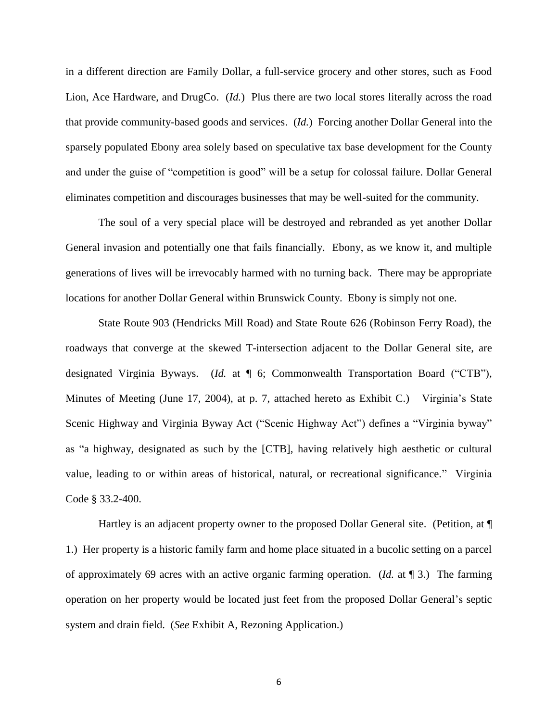in a different direction are Family Dollar, a full-service grocery and other stores, such as Food Lion, Ace Hardware, and DrugCo. (*Id.*) Plus there are two local stores literally across the road that provide community-based goods and services. (*Id.*) Forcing another Dollar General into the sparsely populated Ebony area solely based on speculative tax base development for the County and under the guise of "competition is good" will be a setup for colossal failure. Dollar General eliminates competition and discourages businesses that may be well-suited for the community.

The soul of a very special place will be destroyed and rebranded as yet another Dollar General invasion and potentially one that fails financially. Ebony, as we know it, and multiple generations of lives will be irrevocably harmed with no turning back. There may be appropriate locations for another Dollar General within Brunswick County. Ebony is simply not one.

State Route 903 (Hendricks Mill Road) and State Route 626 (Robinson Ferry Road), the roadways that converge at the skewed T-intersection adjacent to the Dollar General site, are designated Virginia Byways. (*Id.* at ¶ 6; Commonwealth Transportation Board ("CTB"), Minutes of Meeting (June 17, 2004), at p. 7, attached hereto as Exhibit C.) Virginia's State Scenic Highway and Virginia Byway Act ("Scenic Highway Act") defines a "Virginia byway" as "a highway, designated as such by the [CTB], having relatively high aesthetic or cultural value, leading to or within areas of historical, natural, or recreational significance." Virginia Code § 33.2-400.

Hartley is an adjacent property owner to the proposed Dollar General site. (Petition, at ¶ 1.) Her property is a historic family farm and home place situated in a bucolic setting on a parcel of approximately 69 acres with an active organic farming operation. (*Id.* at ¶ 3.) The farming operation on her property would be located just feet from the proposed Dollar General's septic system and drain field. (*See* Exhibit A, Rezoning Application.)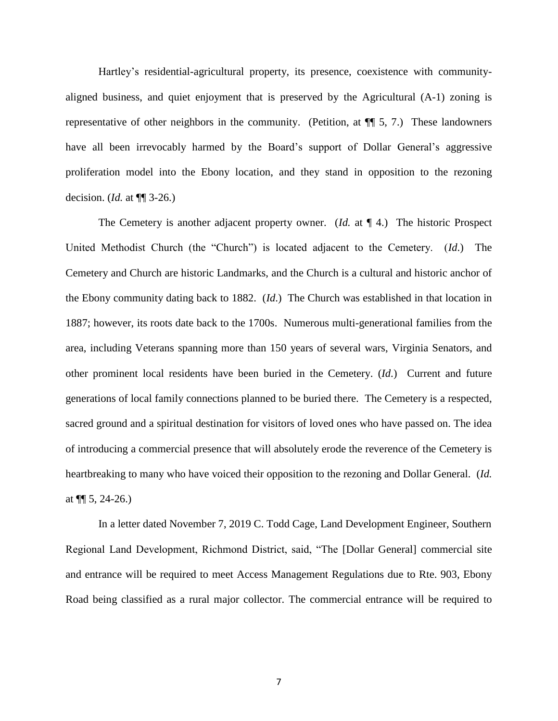Hartley's residential-agricultural property, its presence, coexistence with communityaligned business, and quiet enjoyment that is preserved by the Agricultural (A-1) zoning is representative of other neighbors in the community. (Petition, at ¶¶ 5, 7.) These landowners have all been irrevocably harmed by the Board's support of Dollar General's aggressive proliferation model into the Ebony location, and they stand in opposition to the rezoning decision. (*Id.* at ¶¶ 3-26.)

The Cemetery is another adjacent property owner. (*Id.* at ¶ 4.) The historic Prospect United Methodist Church (the "Church") is located adjacent to the Cemetery. (*Id*.) The Cemetery and Church are historic Landmarks, and the Church is a cultural and historic anchor of the Ebony community dating back to 1882. (*Id*.) The Church was established in that location in 1887; however, its roots date back to the 1700s. Numerous multi-generational families from the area, including Veterans spanning more than 150 years of several wars, Virginia Senators, and other prominent local residents have been buried in the Cemetery. (*Id*.) Current and future generations of local family connections planned to be buried there. The Cemetery is a respected, sacred ground and a spiritual destination for visitors of loved ones who have passed on. The idea of introducing a commercial presence that will absolutely erode the reverence of the Cemetery is heartbreaking to many who have voiced their opposition to the rezoning and Dollar General. (*Id.* at  $\P$ [ 5, 24-26.)

In a letter dated November 7, 2019 C. Todd Cage, Land Development Engineer, Southern Regional Land Development, Richmond District, said, "The [Dollar General] commercial site and entrance will be required to meet Access Management Regulations due to Rte. 903, Ebony Road being classified as a rural major collector. The commercial entrance will be required to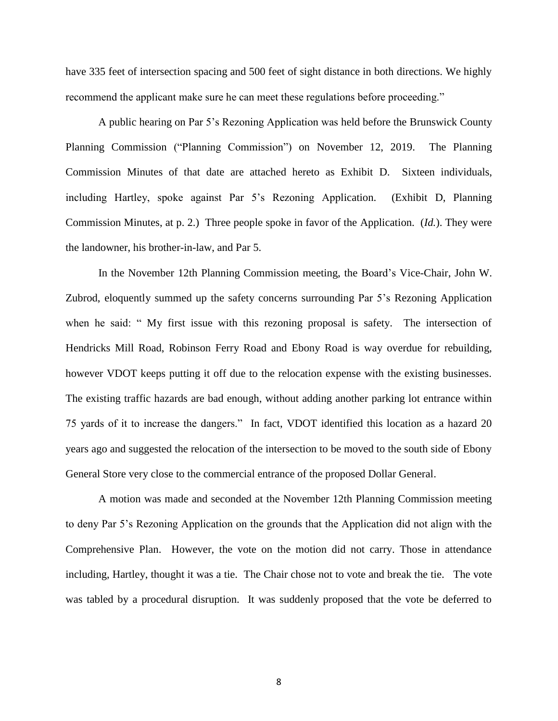have 335 feet of intersection spacing and 500 feet of sight distance in both directions. We highly recommend the applicant make sure he can meet these regulations before proceeding."

A public hearing on Par 5's Rezoning Application was held before the Brunswick County Planning Commission ("Planning Commission") on November 12, 2019. The Planning Commission Minutes of that date are attached hereto as Exhibit D. Sixteen individuals, including Hartley, spoke against Par 5's Rezoning Application. (Exhibit D, Planning Commission Minutes, at p. 2.) Three people spoke in favor of the Application. (*Id.*). They were the landowner, his brother-in-law, and Par 5.

In the November 12th Planning Commission meeting, the Board's Vice-Chair, John W. Zubrod, eloquently summed up the safety concerns surrounding Par 5's Rezoning Application when he said: " My first issue with this rezoning proposal is safety. The intersection of Hendricks Mill Road, Robinson Ferry Road and Ebony Road is way overdue for rebuilding, however VDOT keeps putting it off due to the relocation expense with the existing businesses. The existing traffic hazards are bad enough, without adding another parking lot entrance within 75 yards of it to increase the dangers." In fact, VDOT identified this location as a hazard 20 years ago and suggested the relocation of the intersection to be moved to the south side of Ebony General Store very close to the commercial entrance of the proposed Dollar General.

A motion was made and seconded at the November 12th Planning Commission meeting to deny Par 5's Rezoning Application on the grounds that the Application did not align with the Comprehensive Plan. However, the vote on the motion did not carry. Those in attendance including, Hartley, thought it was a tie. The Chair chose not to vote and break the tie. The vote was tabled by a procedural disruption. It was suddenly proposed that the vote be deferred to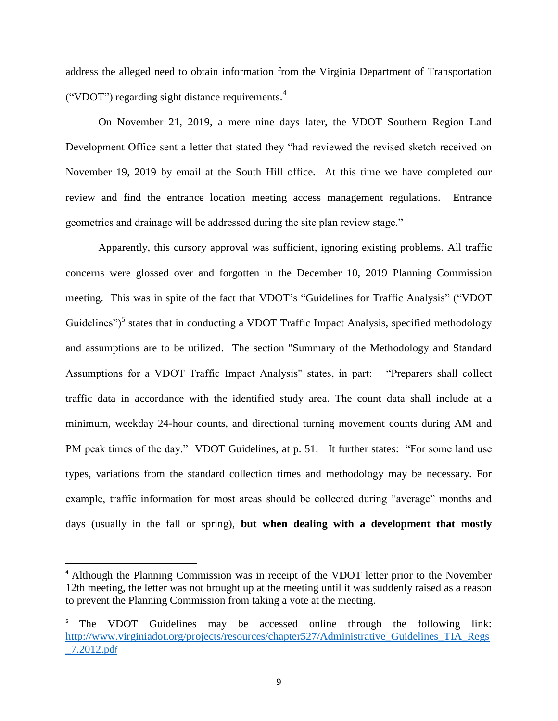address the alleged need to obtain information from the Virginia Department of Transportation ("VDOT") regarding sight distance requirements. $4$ 

On November 21, 2019, a mere nine days later, the VDOT Southern Region Land Development Office sent a letter that stated they "had reviewed the revised sketch received on November 19, 2019 by email at the South Hill office. At this time we have completed our review and find the entrance location meeting access management regulations. Entrance geometrics and drainage will be addressed during the site plan review stage."

Apparently, this cursory approval was sufficient, ignoring existing problems. All traffic concerns were glossed over and forgotten in the December 10, 2019 Planning Commission meeting. This was in spite of the fact that VDOT's "Guidelines for Traffic Analysis" ("VDOT Guidelines")<sup>5</sup> states that in conducting a VDOT Traffic Impact Analysis, specified methodology and assumptions are to be utilized. The section "Summary of the Methodology and Standard Assumptions for a VDOT Traffic Impact Analysis" states, in part: "Preparers shall collect traffic data in accordance with the identified study area. The count data shall include at a minimum, weekday 24-hour counts, and directional turning movement counts during AM and PM peak times of the day." VDOT Guidelines, at p. 51. It further states: "For some land use types, variations from the standard collection times and methodology may be necessary. For example, traffic information for most areas should be collected during "average" months and days (usually in the fall or spring), **but when dealing with a development that mostly** 

 $\overline{a}$ 

<sup>&</sup>lt;sup>4</sup> Although the Planning Commission was in receipt of the VDOT letter prior to the November 12th meeting, the letter was not brought up at the meeting until it was suddenly raised as a reason to prevent the Planning Commission from taking a vote at the meeting.

<sup>&</sup>lt;sup>5</sup> The VDOT Guidelines may be accessed online through the following link: [http://www.virginiadot.org/projects/resources/chapter527/Administrative\\_Guidelines\\_TIA\\_Regs](about:blank) [\\_7.2012.pd](about:blank)f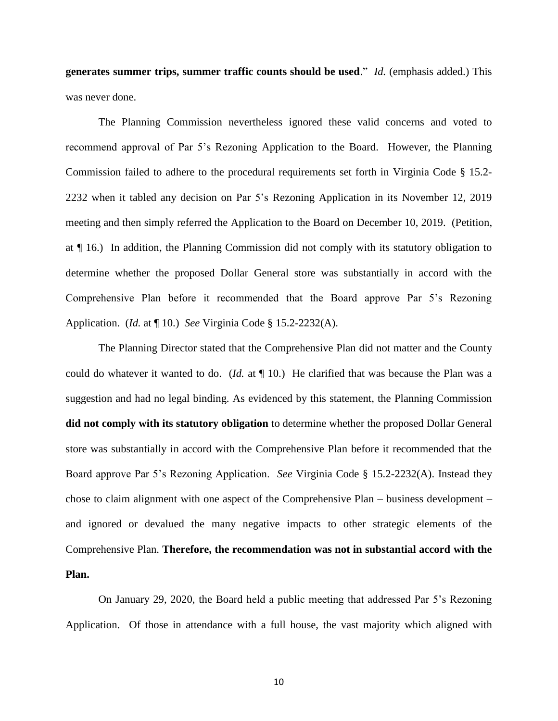**generates summer trips, summer traffic counts should be used**." *Id.* (emphasis added.) This was never done.

The Planning Commission nevertheless ignored these valid concerns and voted to recommend approval of Par 5's Rezoning Application to the Board. However, the Planning Commission failed to adhere to the procedural requirements set forth in Virginia Code § 15.2- 2232 when it tabled any decision on Par 5's Rezoning Application in its November 12, 2019 meeting and then simply referred the Application to the Board on December 10, 2019. (Petition, at ¶ 16.) In addition, the Planning Commission did not comply with its statutory obligation to determine whether the proposed Dollar General store was substantially in accord with the Comprehensive Plan before it recommended that the Board approve Par 5's Rezoning Application. (*Id.* at ¶ 10.) *See* Virginia Code § 15.2-2232(A).

The Planning Director stated that the Comprehensive Plan did not matter and the County could do whatever it wanted to do. (*Id.* at ¶ 10.) He clarified that was because the Plan was a suggestion and had no legal binding. As evidenced by this statement, the Planning Commission **did not comply with its statutory obligation** to determine whether the proposed Dollar General store was substantially in accord with the Comprehensive Plan before it recommended that the Board approve Par 5's Rezoning Application. *See* Virginia Code § 15.2-2232(A). Instead they chose to claim alignment with one aspect of the Comprehensive Plan – business development – and ignored or devalued the many negative impacts to other strategic elements of the Comprehensive Plan. **Therefore, the recommendation was not in substantial accord with the Plan.**

On January 29, 2020, the Board held a public meeting that addressed Par 5's Rezoning Application. Of those in attendance with a full house, the vast majority which aligned with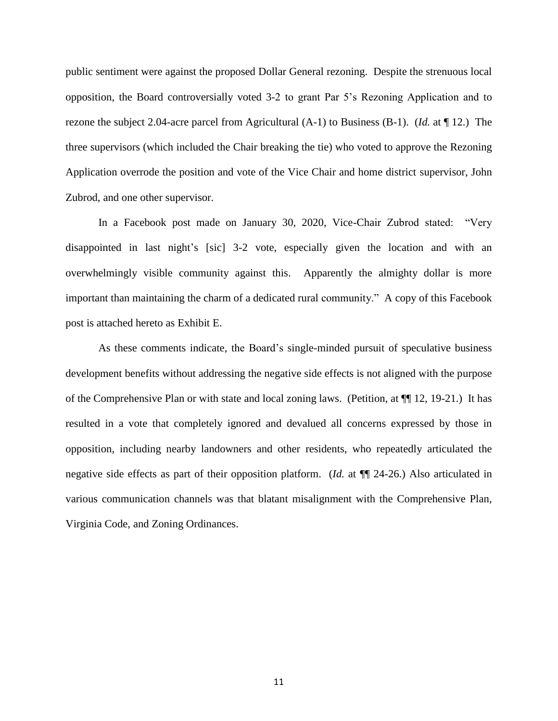public sentiment were against the proposed Dollar General rezoning. Despite the strenuous local opposition, the Board controversially voted 3-2 to grant Par 5's Rezoning Application and to rezone the subject 2.04-acre parcel from Agricultural (A-1) to Business (B-1). (*Id.* at ¶ 12.) The three supervisors (which included the Chair breaking the tie) who voted to approve the Rezoning Application overrode the position and vote of the Vice Chair and home district supervisor, John Zubrod, and one other supervisor.

In a Facebook post made on January 30, 2020, Vice-Chair Zubrod stated: "Very disappointed in last night's [sic] 3-2 vote, especially given the location and with an overwhelmingly visible community against this. Apparently the almighty dollar is more important than maintaining the charm of a dedicated rural community." A copy of this Facebook post is attached hereto as Exhibit E.

As these comments indicate, the Board's single-minded pursuit of speculative business development benefits without addressing the negative side effects is not aligned with the purpose of the Comprehensive Plan or with state and local zoning laws. (Petition, at  $\P$  12, 19-21.) It has resulted in a vote that completely ignored and devalued all concerns expressed by those in opposition, including nearby landowners and other residents, who repeatedly articulated the negative side effects as part of their opposition platform. (*Id.* at ¶¶ 24-26.) Also articulated in various communication channels was that blatant misalignment with the Comprehensive Plan, Virginia Code, and Zoning Ordinances.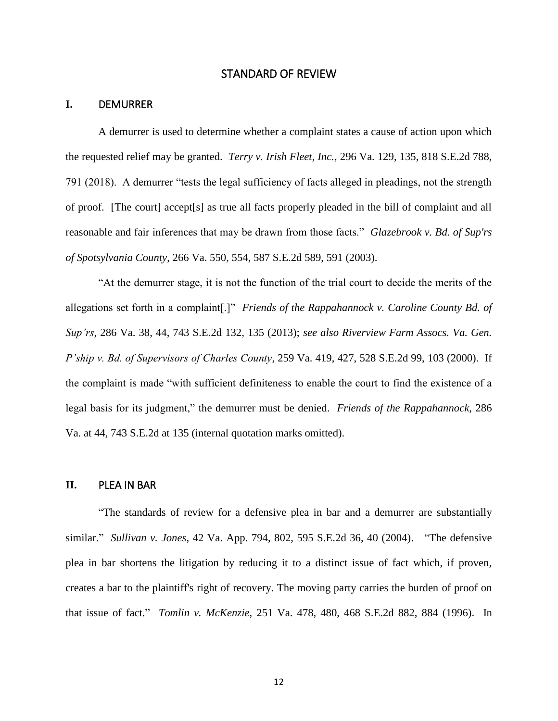### STANDARD OF REVIEW

#### <span id="page-12-0"></span>**I.** DEMURRER

A demurrer is used to determine whether a complaint states a cause of action upon which the requested relief may be granted. *Terry v. Irish Fleet, Inc.*, 296 Va. 129, 135, 818 S.E.2d 788, 791 (2018). A demurrer "tests the legal sufficiency of facts alleged in pleadings, not the strength of proof. [The court] accept[s] as true all facts properly pleaded in the bill of complaint and all reasonable and fair inferences that may be drawn from those facts." *Glazebrook v. Bd. of Sup'rs of Spotsylvania County*, 266 Va. 550, 554, 587 S.E.2d 589, 591 (2003).

"At the demurrer stage, it is not the function of the trial court to decide the merits of the allegations set forth in a complaint[.]" *Friends of the Rappahannock v. Caroline County Bd. of Sup'rs*, 286 Va. 38, 44, 743 S.E.2d 132, 135 (2013); *see also Riverview Farm Assocs. Va. Gen. P'ship v. Bd. of Supervisors of Charles County*, 259 Va. 419, 427, 528 S.E.2d 99, 103 (2000). If the complaint is made "with sufficient definiteness to enable the court to find the existence of a legal basis for its judgment," the demurrer must be denied. *Friends of the Rappahannock*, 286 Va. at 44, 743 S.E.2d at 135 (internal quotation marks omitted).

### **II.** PLEA IN BAR

"The standards of review for a defensive plea in bar and a demurrer are substantially similar." *Sullivan v. Jones*, 42 Va. App. 794, 802, 595 S.E.2d 36, 40 (2004). "The defensive plea in bar shortens the litigation by reducing it to a distinct issue of fact which, if proven, creates a bar to the plaintiff's right of recovery. The moving party carries the burden of proof on that issue of fact." *Tomlin v. McKenzie*, 251 Va. 478, 480, 468 S.E.2d 882, 884 (1996). In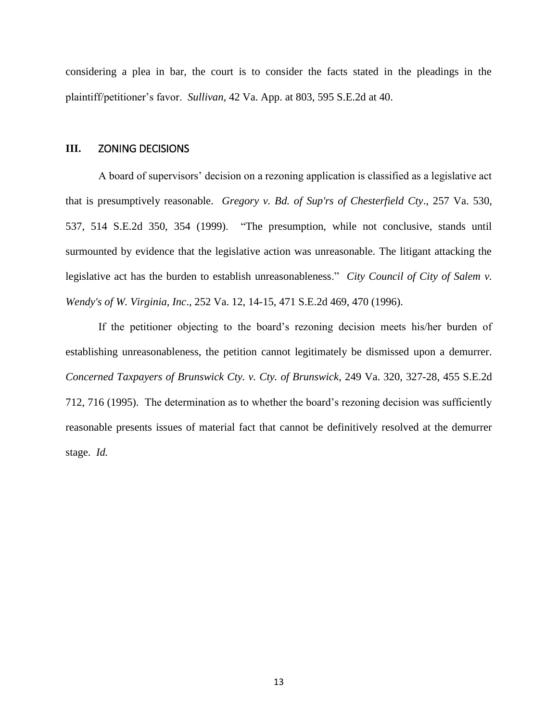considering a plea in bar, the court is to consider the facts stated in the pleadings in the plaintiff/petitioner's favor. *Sullivan*, 42 Va. App. at 803, 595 S.E.2d at 40.

### **III.** ZONING DECISIONS

A board of supervisors' decision on a rezoning application is classified as a legislative act that is presumptively reasonable. *Gregory v. Bd. of Sup'rs of Chesterfield Cty*., 257 Va. 530, 537, 514 S.E.2d 350, 354 (1999). "The presumption, while not conclusive, stands until surmounted by evidence that the legislative action was unreasonable. The litigant attacking the legislative act has the burden to establish unreasonableness." *City Council of City of Salem v. Wendy's of W. Virginia, Inc*., 252 Va. 12, 14-15, 471 S.E.2d 469, 470 (1996).

If the petitioner objecting to the board's rezoning decision meets his/her burden of establishing unreasonableness, the petition cannot legitimately be dismissed upon a demurrer. *Concerned Taxpayers of Brunswick Cty. v. Cty. of Brunswick*, 249 Va. 320, 327-28, 455 S.E.2d 712, 716 (1995). The determination as to whether the board's rezoning decision was sufficiently reasonable presents issues of material fact that cannot be definitively resolved at the demurrer stage. *Id.*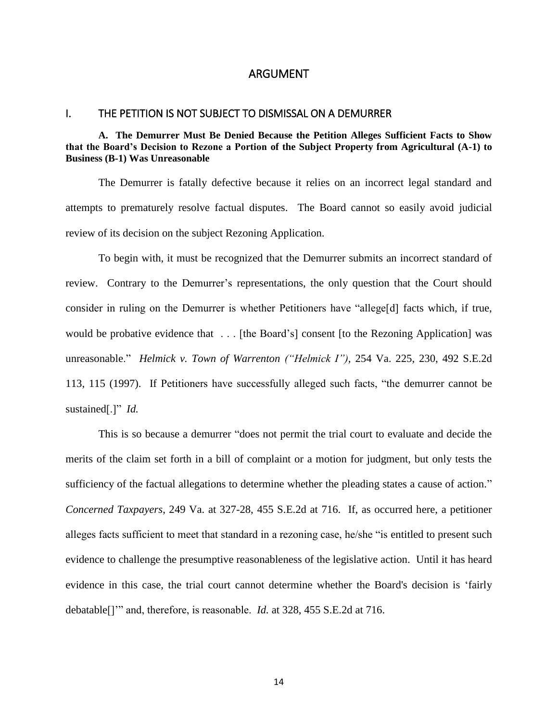### ARGUMENT

#### <span id="page-14-1"></span><span id="page-14-0"></span>I. THE PETITION IS NOT SUBJECT TO DISMISSAL ON A DEMURRER

### <span id="page-14-2"></span>**A. The Demurrer Must Be Denied Because the Petition Alleges Sufficient Facts to Show that the Board's Decision to Rezone a Portion of the Subject Property from Agricultural (A-1) to Business (B-1) Was Unreasonable**

The Demurrer is fatally defective because it relies on an incorrect legal standard and attempts to prematurely resolve factual disputes. The Board cannot so easily avoid judicial review of its decision on the subject Rezoning Application.

To begin with, it must be recognized that the Demurrer submits an incorrect standard of review. Contrary to the Demurrer's representations, the only question that the Court should consider in ruling on the Demurrer is whether Petitioners have "allege[d] facts which, if true, would be probative evidence that ... [the Board's] consent [to the Rezoning Application] was unreasonable." *Helmick v. Town of Warrenton ("Helmick I"),* 254 Va. 225, 230, 492 S.E.2d 113, 115 (1997). If Petitioners have successfully alleged such facts, "the demurrer cannot be sustained[.]" *Id.* 

This is so because a demurrer "does not permit the trial court to evaluate and decide the merits of the claim set forth in a bill of complaint or a motion for judgment, but only tests the sufficiency of the factual allegations to determine whether the pleading states a cause of action." *Concerned Taxpayers*, 249 Va. at 327-28, 455 S.E.2d at 716. If, as occurred here, a petitioner alleges facts sufficient to meet that standard in a rezoning case, he/she "is entitled to present such evidence to challenge the presumptive reasonableness of the legislative action. Until it has heard evidence in this case, the trial court cannot determine whether the Board's decision is 'fairly debatable[]'" and, therefore, is reasonable. *Id.* at 328, 455 S.E.2d at 716.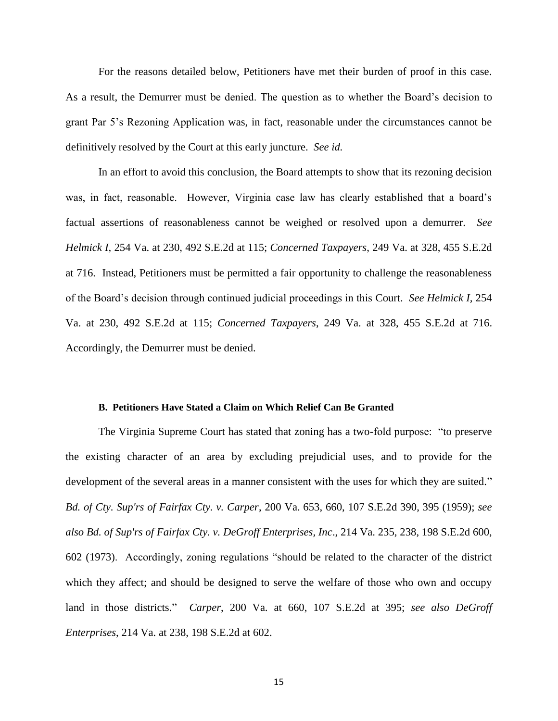For the reasons detailed below, Petitioners have met their burden of proof in this case. As a result, the Demurrer must be denied. The question as to whether the Board's decision to grant Par 5's Rezoning Application was, in fact, reasonable under the circumstances cannot be definitively resolved by the Court at this early juncture. *See id.*

In an effort to avoid this conclusion, the Board attempts to show that its rezoning decision was, in fact, reasonable. However, Virginia case law has clearly established that a board's factual assertions of reasonableness cannot be weighed or resolved upon a demurrer. *See Helmick I,* 254 Va. at 230, 492 S.E.2d at 115; *Concerned Taxpayers*, 249 Va. at 328, 455 S.E.2d at 716. Instead, Petitioners must be permitted a fair opportunity to challenge the reasonableness of the Board's decision through continued judicial proceedings in this Court. *See Helmick I,* 254 Va. at 230, 492 S.E.2d at 115; *Concerned Taxpayers*, 249 Va. at 328, 455 S.E.2d at 716. Accordingly, the Demurrer must be denied.

#### **B. Petitioners Have Stated a Claim on Which Relief Can Be Granted**

<span id="page-15-0"></span>The Virginia Supreme Court has stated that zoning has a two-fold purpose: "to preserve the existing character of an area by excluding prejudicial uses, and to provide for the development of the several areas in a manner consistent with the uses for which they are suited." *Bd. of Cty. Sup'rs of Fairfax Cty. v. Carper*, 200 Va. 653, 660, 107 S.E.2d 390, 395 (1959); *see also Bd. of Sup'rs of Fairfax Cty. v. DeGroff Enterprises, Inc*., 214 Va. 235, 238, 198 S.E.2d 600, 602 (1973). Accordingly, zoning regulations "should be related to the character of the district which they affect; and should be designed to serve the welfare of those who own and occupy land in those districts." *Carper*, 200 Va. at 660, 107 S.E.2d at 395; *see also DeGroff Enterprises*, 214 Va. at 238, 198 S.E.2d at 602.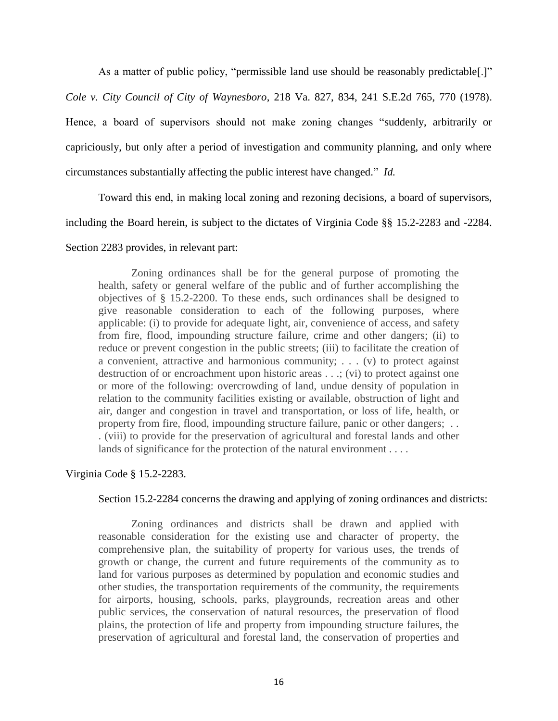As a matter of public policy, "permissible land use should be reasonably predictable.]" *Cole v. City Council of City of Waynesboro*, 218 Va. 827, 834, 241 S.E.2d 765, 770 (1978). Hence, a board of supervisors should not make zoning changes "suddenly, arbitrarily or capriciously, but only after a period of investigation and community planning, and only where circumstances substantially affecting the public interest have changed." *Id.*

Toward this end, in making local zoning and rezoning decisions, a board of supervisors,

including the Board herein, is subject to the dictates of Virginia Code §§ 15.2-2283 and -2284.

### Section 2283 provides, in relevant part:

Zoning ordinances shall be for the general purpose of promoting the health, safety or general welfare of the public and of further accomplishing the objectives of § 15.2-2200. To these ends, such ordinances shall be designed to give reasonable consideration to each of the following purposes, where applicable: (i) to provide for adequate light, air, convenience of access, and safety from fire, flood, impounding structure failure, crime and other dangers; (ii) to reduce or prevent congestion in the public streets; (iii) to facilitate the creation of a convenient, attractive and harmonious community; . . . (v) to protect against destruction of or encroachment upon historic areas . . .; (vi) to protect against one or more of the following: overcrowding of land, undue density of population in relation to the community facilities existing or available, obstruction of light and air, danger and congestion in travel and transportation, or loss of life, health, or property from fire, flood, impounding structure failure, panic or other dangers; . . . (viii) to provide for the preservation of agricultural and forestal lands and other lands of significance for the protection of the natural environment . . . .

# Virginia Code § 15.2-2283.

### Section 15.2-2284 concerns the drawing and applying of zoning ordinances and districts:

Zoning ordinances and districts shall be drawn and applied with reasonable consideration for the existing use and character of property, the comprehensive plan, the suitability of property for various uses, the trends of growth or change, the current and future requirements of the community as to land for various purposes as determined by population and economic studies and other studies, the transportation requirements of the community, the requirements for airports, housing, schools, parks, playgrounds, recreation areas and other public services, the conservation of natural resources, the preservation of flood plains, the protection of life and property from impounding structure failures, the preservation of agricultural and forestal land, the conservation of properties and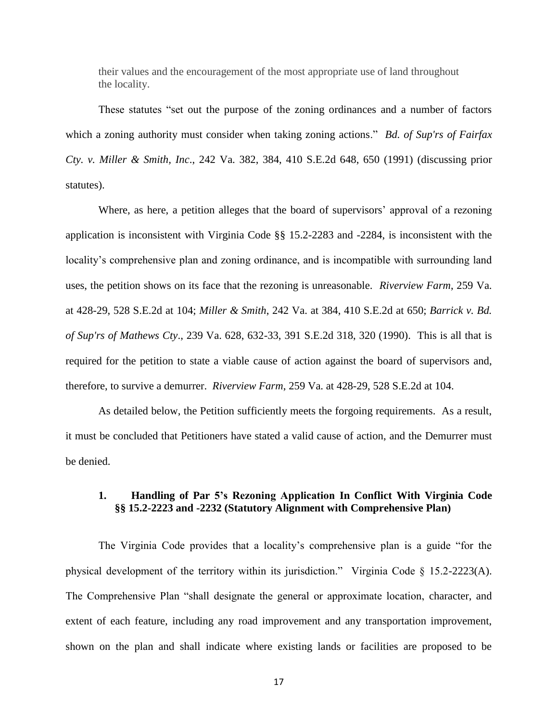their values and the encouragement of the most appropriate use of land throughout the locality.

These statutes "set out the purpose of the zoning ordinances and a number of factors which a zoning authority must consider when taking zoning actions." *Bd. of Sup'rs of Fairfax Cty. v. Miller & Smith, Inc*., 242 Va. 382, 384, 410 S.E.2d 648, 650 (1991) (discussing prior statutes).

Where, as here, a petition alleges that the board of supervisors' approval of a rezoning application is inconsistent with Virginia Code §§ 15.2-2283 and -2284, is inconsistent with the locality's comprehensive plan and zoning ordinance, and is incompatible with surrounding land uses, the petition shows on its face that the rezoning is unreasonable. *Riverview Farm*, 259 Va. at 428-29, 528 S.E.2d at 104; *Miller & Smith*, 242 Va. at 384, 410 S.E.2d at 650; *Barrick v. Bd. of Sup'rs of Mathews Cty*., 239 Va. 628, 632-33, 391 S.E.2d 318, 320 (1990). This is all that is required for the petition to state a viable cause of action against the board of supervisors and, therefore, to survive a demurrer. *Riverview Farm*, 259 Va. at 428-29, 528 S.E.2d at 104.

As detailed below, the Petition sufficiently meets the forgoing requirements. As a result, it must be concluded that Petitioners have stated a valid cause of action, and the Demurrer must be denied.

# <span id="page-17-0"></span>**1.****Handling of Par 5's Rezoning Application In Conflict With Virginia Code §§ 15.2-2223 and -2232 (Statutory Alignment with Comprehensive Plan)**

The Virginia Code provides that a locality's comprehensive plan is a guide "for the physical development of the territory within its jurisdiction." Virginia Code § 15.2-2223(A). The Comprehensive Plan "shall designate the general or approximate location, character, and extent of each feature, including any road improvement and any transportation improvement, shown on the plan and shall indicate where existing lands or facilities are proposed to be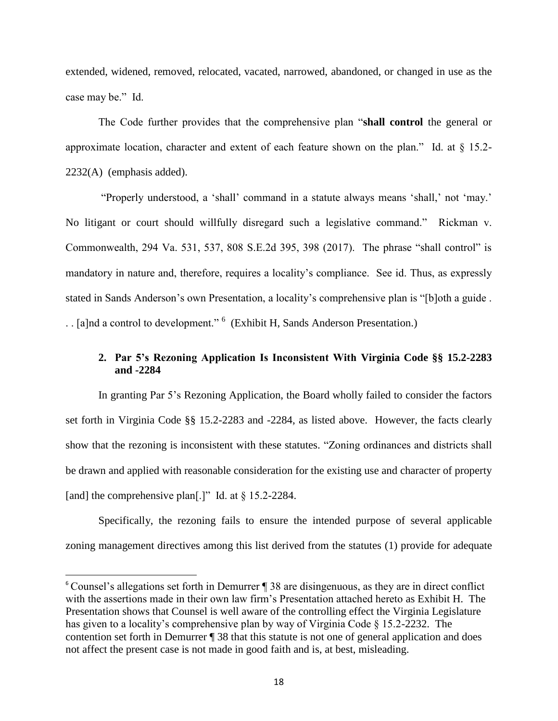extended, widened, removed, relocated, vacated, narrowed, abandoned, or changed in use as the case may be." Id.

The Code further provides that the comprehensive plan "**shall control** the general or approximate location, character and extent of each feature shown on the plan." Id. at § 15.2- 2232(A) (emphasis added).

"Properly understood, a 'shall' command in a statute always means 'shall,' not 'may.' No litigant or court should willfully disregard such a legislative command." Rickman v. Commonwealth, 294 Va. 531, 537, 808 S.E.2d 395, 398 (2017). The phrase "shall control" is mandatory in nature and, therefore, requires a locality's compliance. See id. Thus, as expressly stated in Sands Anderson's own Presentation, a locality's comprehensive plan is "[b]oth a guide . . [a]nd a control to development."<sup>6</sup> (Exhibit H, Sands Anderson Presentation.)

# <span id="page-18-0"></span>**2. Par 5's Rezoning Application Is Inconsistent With Virginia Code §§ 15.2-2283 and -2284**

In granting Par 5's Rezoning Application, the Board wholly failed to consider the factors set forth in Virginia Code §§ 15.2-2283 and -2284, as listed above. However, the facts clearly show that the rezoning is inconsistent with these statutes. "Zoning ordinances and districts shall be drawn and applied with reasonable consideration for the existing use and character of property [and] the comprehensive plan[.]" Id. at  $\S 15.2-2284$ .

Specifically, the rezoning fails to ensure the intended purpose of several applicable zoning management directives among this list derived from the statutes (1) provide for adequate

 $\overline{a}$ 

<sup>6</sup> Counsel's allegations set forth in Demurrer ¶ 38 are disingenuous, as they are in direct conflict with the assertions made in their own law firm's Presentation attached hereto as Exhibit H. The Presentation shows that Counsel is well aware of the controlling effect the Virginia Legislature has given to a locality's comprehensive plan by way of Virginia Code § 15.2-2232. The contention set forth in Demurrer ¶ 38 that this statute is not one of general application and does not affect the present case is not made in good faith and is, at best, misleading.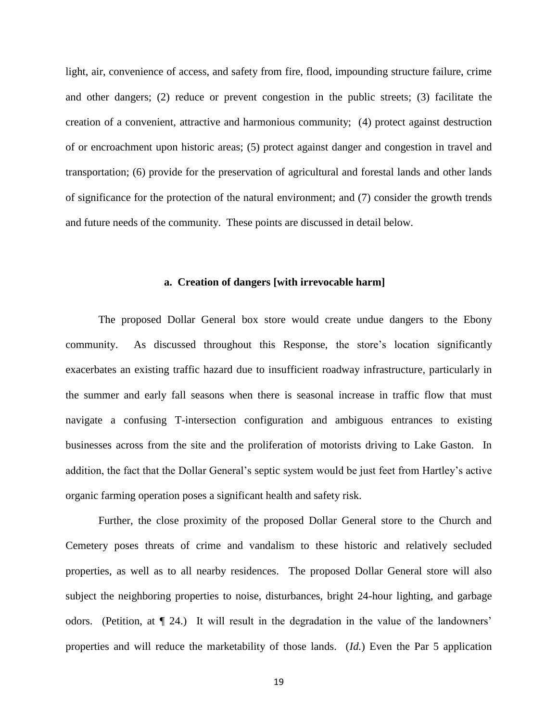light, air, convenience of access, and safety from fire, flood, impounding structure failure, crime and other dangers; (2) reduce or prevent congestion in the public streets; (3) facilitate the creation of a convenient, attractive and harmonious community; (4) protect against destruction of or encroachment upon historic areas; (5) protect against danger and congestion in travel and transportation; (6) provide for the preservation of agricultural and forestal lands and other lands of significance for the protection of the natural environment; and (7) consider the growth trends and future needs of the community. These points are discussed in detail below.

#### <span id="page-19-0"></span>**a. Creation of dangers [with irrevocable harm]**

The proposed Dollar General box store would create undue dangers to the Ebony community. As discussed throughout this Response, the store's location significantly exacerbates an existing traffic hazard due to insufficient roadway infrastructure, particularly in the summer and early fall seasons when there is seasonal increase in traffic flow that must navigate a confusing T-intersection configuration and ambiguous entrances to existing businesses across from the site and the proliferation of motorists driving to Lake Gaston. In addition, the fact that the Dollar General's septic system would be just feet from Hartley's active organic farming operation poses a significant health and safety risk.

Further, the close proximity of the proposed Dollar General store to the Church and Cemetery poses threats of crime and vandalism to these historic and relatively secluded properties, as well as to all nearby residences. The proposed Dollar General store will also subject the neighboring properties to noise, disturbances, bright 24-hour lighting, and garbage odors. (Petition, at ¶ 24.) It will result in the degradation in the value of the landowners' properties and will reduce the marketability of those lands. (*Id.*) Even the Par 5 application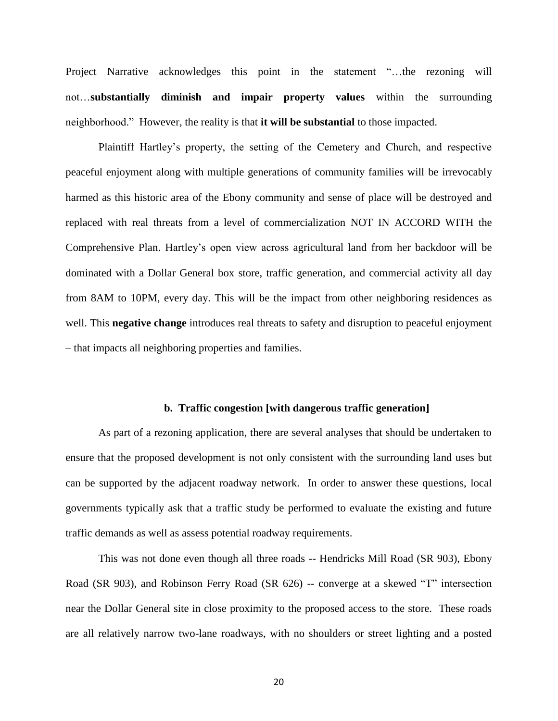Project Narrative acknowledges this point in the statement "…the rezoning will not…**substantially diminish and impair property values** within the surrounding neighborhood." However, the reality is that **it will be substantial** to those impacted.

Plaintiff Hartley's property, the setting of the Cemetery and Church, and respective peaceful enjoyment along with multiple generations of community families will be irrevocably harmed as this historic area of the Ebony community and sense of place will be destroyed and replaced with real threats from a level of commercialization NOT IN ACCORD WITH the Comprehensive Plan. Hartley's open view across agricultural land from her backdoor will be dominated with a Dollar General box store, traffic generation, and commercial activity all day from 8AM to 10PM, every day. This will be the impact from other neighboring residences as well. This **negative change** introduces real threats to safety and disruption to peaceful enjoyment – that impacts all neighboring properties and families.

#### <span id="page-20-0"></span>**b. Traffic congestion [with dangerous traffic generation]**

As part of a rezoning application, there are several analyses that should be undertaken to ensure that the proposed development is not only consistent with the surrounding land uses but can be supported by the adjacent roadway network. In order to answer these questions, local governments typically ask that a traffic study be performed to evaluate the existing and future traffic demands as well as assess potential roadway requirements.

This was not done even though all three roads -- Hendricks Mill Road (SR 903), Ebony Road (SR 903), and Robinson Ferry Road (SR 626) -- converge at a skewed "T" intersection near the Dollar General site in close proximity to the proposed access to the store. These roads are all relatively narrow two-lane roadways, with no shoulders or street lighting and a posted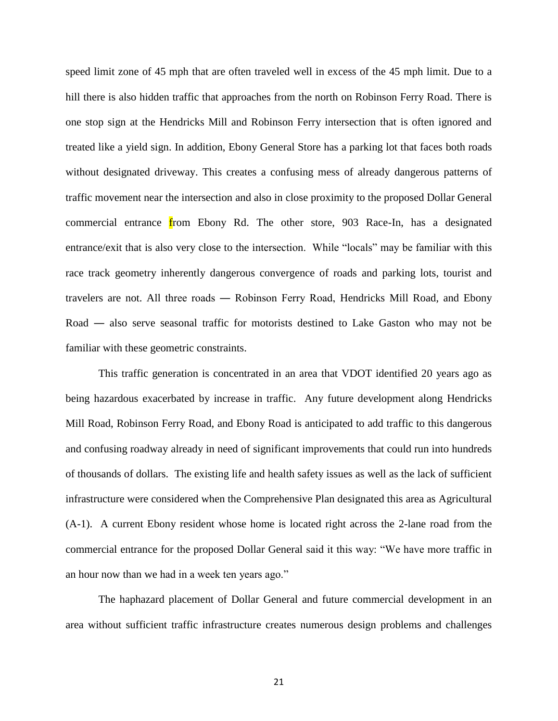speed limit zone of 45 mph that are often traveled well in excess of the 45 mph limit. Due to a hill there is also hidden traffic that approaches from the north on Robinson Ferry Road. There is one stop sign at the Hendricks Mill and Robinson Ferry intersection that is often ignored and treated like a yield sign. In addition, Ebony General Store has a parking lot that faces both roads without designated driveway. This creates a confusing mess of already dangerous patterns of traffic movement near the intersection and also in close proximity to the proposed Dollar General commercial entrance from Ebony Rd. The other store, 903 Race-In, has a designated entrance/exit that is also very close to the intersection. While "locals" may be familiar with this race track geometry inherently dangerous convergence of roads and parking lots, tourist and travelers are not. All three roads ― Robinson Ferry Road, Hendricks Mill Road, and Ebony Road ― also serve seasonal traffic for motorists destined to Lake Gaston who may not be familiar with these geometric constraints.

This traffic generation is concentrated in an area that VDOT identified 20 years ago as being hazardous exacerbated by increase in traffic. Any future development along Hendricks Mill Road, Robinson Ferry Road, and Ebony Road is anticipated to add traffic to this dangerous and confusing roadway already in need of significant improvements that could run into hundreds of thousands of dollars. The existing life and health safety issues as well as the lack of sufficient infrastructure were considered when the Comprehensive Plan designated this area as Agricultural (A-1). A current Ebony resident whose home is located right across the 2-lane road from the commercial entrance for the proposed Dollar General said it this way: "We have more traffic in an hour now than we had in a week ten years ago."

The haphazard placement of Dollar General and future commercial development in an area without sufficient traffic infrastructure creates numerous design problems and challenges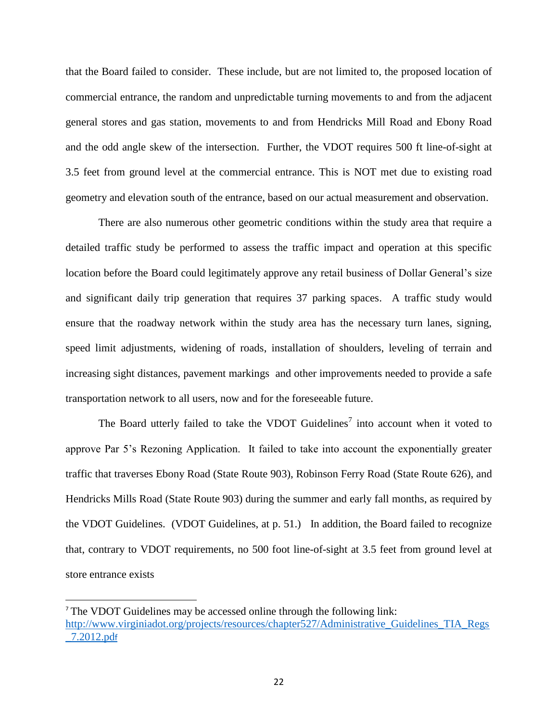that the Board failed to consider. These include, but are not limited to, the proposed location of commercial entrance, the random and unpredictable turning movements to and from the adjacent general stores and gas station, movements to and from Hendricks Mill Road and Ebony Road and the odd angle skew of the intersection. Further, the VDOT requires 500 ft line-of-sight at 3.5 feet from ground level at the commercial entrance. This is NOT met due to existing road geometry and elevation south of the entrance, based on our actual measurement and observation.

There are also numerous other geometric conditions within the study area that require a detailed traffic study be performed to assess the traffic impact and operation at this specific location before the Board could legitimately approve any retail business of Dollar General's size and significant daily trip generation that requires 37 parking spaces. A traffic study would ensure that the roadway network within the study area has the necessary turn lanes, signing, speed limit adjustments, widening of roads, installation of shoulders, leveling of terrain and increasing sight distances, pavement markings and other improvements needed to provide a safe transportation network to all users, now and for the foreseeable future.

The Board utterly failed to take the VDOT Guidelines<sup>7</sup> into account when it voted to approve Par 5's Rezoning Application. It failed to take into account the exponentially greater traffic that traverses Ebony Road (State Route 903), Robinson Ferry Road (State Route 626), and Hendricks Mills Road (State Route 903) during the summer and early fall months, as required by the VDOT Guidelines. (VDOT Guidelines, at p. 51.) In addition, the Board failed to recognize that, contrary to VDOT requirements, no 500 foot line-of-sight at 3.5 feet from ground level at store entrance exists

 $\overline{\phantom{a}}$ 

<sup>7</sup> The VDOT Guidelines may be accessed online through the following link: [http://www.virginiadot.org/projects/resources/chapter527/Administrative\\_Guidelines\\_TIA\\_Regs](http://www.virginiadot.org/projects/resources/chapter527/Administrative_Guidelines_TIA_Regs_7.2012.pdf) [\\_7.2012.pd](http://www.virginiadot.org/projects/resources/chapter527/Administrative_Guidelines_TIA_Regs_7.2012.pdf)f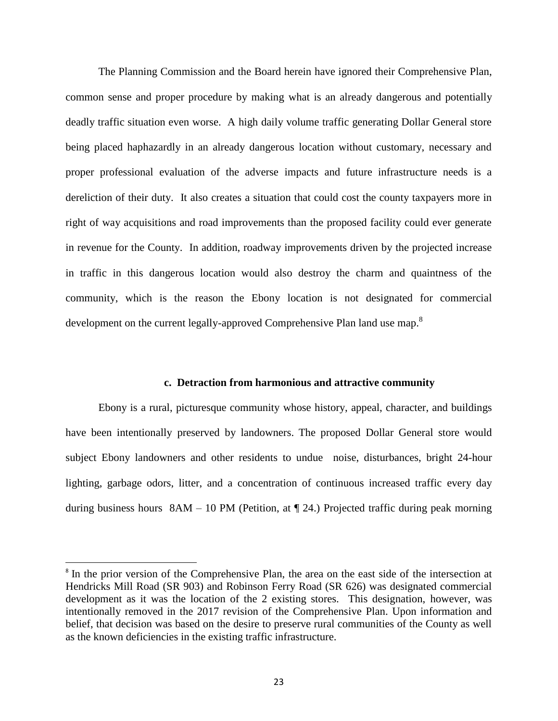The Planning Commission and the Board herein have ignored their Comprehensive Plan, common sense and proper procedure by making what is an already dangerous and potentially deadly traffic situation even worse. A high daily volume traffic generating Dollar General store being placed haphazardly in an already dangerous location without customary, necessary and proper professional evaluation of the adverse impacts and future infrastructure needs is a dereliction of their duty. It also creates a situation that could cost the county taxpayers more in right of way acquisitions and road improvements than the proposed facility could ever generate in revenue for the County. In addition, roadway improvements driven by the projected increase in traffic in this dangerous location would also destroy the charm and quaintness of the community, which is the reason the Ebony location is not designated for commercial development on the current legally-approved Comprehensive Plan land use map.<sup>8</sup>

#### <span id="page-23-0"></span>**c. Detraction from harmonious and attractive community**

Ebony is a rural, picturesque community whose history, appeal, character, and buildings have been intentionally preserved by landowners. The proposed Dollar General store would subject Ebony landowners and other residents to undue noise, disturbances, bright 24-hour lighting, garbage odors, litter, and a concentration of continuous increased traffic every day during business hours  $8AM - 10 PM$  (Petition, at  $\P$  24.) Projected traffic during peak morning

l

<sup>&</sup>lt;sup>8</sup> In the prior version of the Comprehensive Plan, the area on the east side of the intersection at Hendricks Mill Road (SR 903) and Robinson Ferry Road (SR 626) was designated commercial development as it was the location of the 2 existing stores. This designation, however, was intentionally removed in the 2017 revision of the Comprehensive Plan. Upon information and belief, that decision was based on the desire to preserve rural communities of the County as well as the known deficiencies in the existing traffic infrastructure.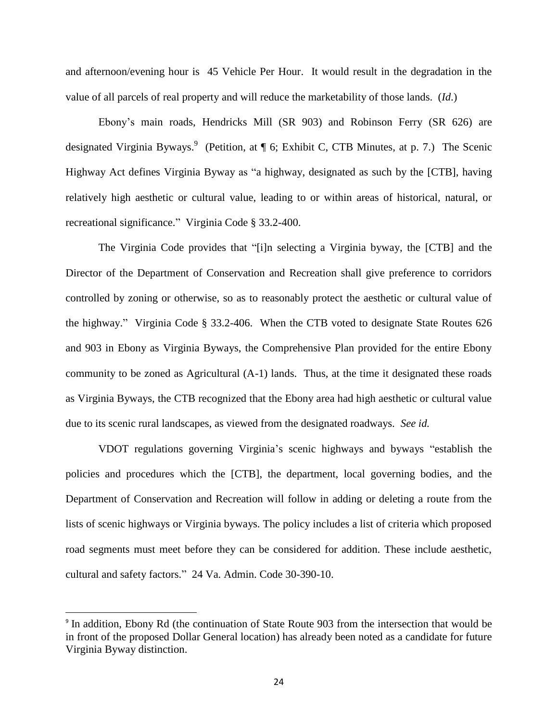and afternoon/evening hour is 45 Vehicle Per Hour. It would result in the degradation in the value of all parcels of real property and will reduce the marketability of those lands. (*Id*.)

Ebony's main roads, Hendricks Mill (SR 903) and Robinson Ferry (SR 626) are designated Virginia Byways.<sup>9</sup> (Petition, at ¶ 6; Exhibit C, CTB Minutes, at p. 7.) The Scenic Highway Act defines Virginia Byway as "a highway, designated as such by the [CTB], having relatively high aesthetic or cultural value, leading to or within areas of historical, natural, or recreational significance." Virginia Code § 33.2-400.

The Virginia Code provides that "[i]n selecting a Virginia byway, the [CTB] and the Director of the Department of Conservation and Recreation shall give preference to corridors controlled by zoning or otherwise, so as to reasonably protect the aesthetic or cultural value of the highway." Virginia Code § 33.2-406. When the CTB voted to designate State Routes 626 and 903 in Ebony as Virginia Byways, the Comprehensive Plan provided for the entire Ebony community to be zoned as Agricultural (A-1) lands. Thus, at the time it designated these roads as Virginia Byways, the CTB recognized that the Ebony area had high aesthetic or cultural value due to its scenic rural landscapes, as viewed from the designated roadways. *See id.*

VDOT regulations governing Virginia's scenic highways and byways "establish the policies and procedures which the [CTB], the department, local governing bodies, and the Department of Conservation and Recreation will follow in adding or deleting a route from the lists of scenic highways or Virginia byways. The policy includes a list of criteria which proposed road segments must meet before they can be considered for addition. These include aesthetic, cultural and safety factors." 24 Va. Admin. Code 30-390-10.

 $\overline{\phantom{a}}$ 

<sup>&</sup>lt;sup>9</sup> In addition, Ebony Rd (the continuation of State Route 903 from the intersection that would be in front of the proposed Dollar General location) has already been noted as a candidate for future Virginia Byway distinction.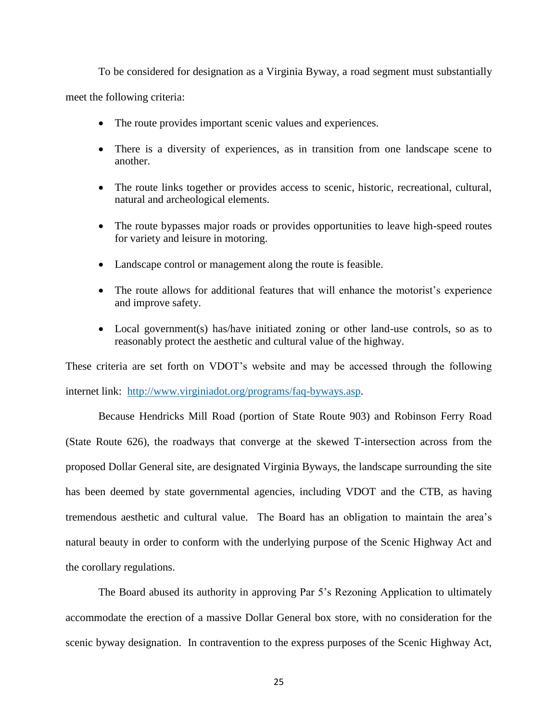To be considered for designation as a Virginia Byway, a road segment must substantially meet the following criteria:

- The route provides important scenic values and experiences.
- There is a diversity of experiences, as in transition from one landscape scene to another.
- The route links together or provides access to scenic, historic, recreational, cultural, natural and archeological elements.
- The route bypasses major roads or provides opportunities to leave high-speed routes for variety and leisure in motoring.
- Landscape control or management along the route is feasible.
- The route allows for additional features that will enhance the motorist's experience and improve safety.
- Local government(s) has/have initiated zoning or other land-use controls, so as to reasonably protect the aesthetic and cultural value of the highway.

These criteria are set forth on VDOT's website and may be accessed through the following internet link: [http://www.virginiadot.org/programs/faq-byways.asp.](about:blank)

Because Hendricks Mill Road (portion of State Route 903) and Robinson Ferry Road (State Route 626), the roadways that converge at the skewed T-intersection across from the proposed Dollar General site, are designated Virginia Byways, the landscape surrounding the site has been deemed by state governmental agencies, including VDOT and the CTB, as having tremendous aesthetic and cultural value. The Board has an obligation to maintain the area's natural beauty in order to conform with the underlying purpose of the Scenic Highway Act and the corollary regulations.

The Board abused its authority in approving Par 5's Rezoning Application to ultimately accommodate the erection of a massive Dollar General box store, with no consideration for the scenic byway designation. In contravention to the express purposes of the Scenic Highway Act,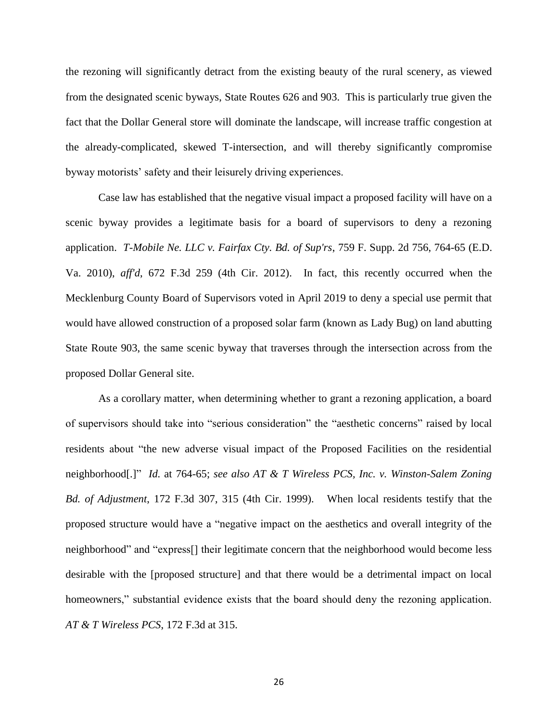the rezoning will significantly detract from the existing beauty of the rural scenery, as viewed from the designated scenic byways, State Routes 626 and 903. This is particularly true given the fact that the Dollar General store will dominate the landscape, will increase traffic congestion at the already-complicated, skewed T-intersection, and will thereby significantly compromise byway motorists' safety and their leisurely driving experiences.

Case law has established that the negative visual impact a proposed facility will have on a scenic byway provides a legitimate basis for a board of supervisors to deny a rezoning application. *T-Mobile Ne. LLC v. Fairfax Cty. Bd. of Sup'rs*, 759 F. Supp. 2d 756, 764-65 (E.D. Va. 2010), *aff'd*, 672 F.3d 259 (4th Cir. 2012). In fact, this recently occurred when the Mecklenburg County Board of Supervisors voted in April 2019 to deny a special use permit that would have allowed construction of a proposed solar farm (known as Lady Bug) on land abutting State Route 903, the same scenic byway that traverses through the intersection across from the proposed Dollar General site.

As a corollary matter, when determining whether to grant a rezoning application, a board of supervisors should take into "serious consideration" the "aesthetic concerns" raised by local residents about "the new adverse visual impact of the Proposed Facilities on the residential neighborhood[.]" *Id.* at 764-65; *see also AT & T Wireless PCS, Inc. v. Winston-Salem Zoning Bd. of Adjustment*, 172 F.3d 307, 315 (4th Cir. 1999). When local residents testify that the proposed structure would have a "negative impact on the aesthetics and overall integrity of the neighborhood" and "express[] their legitimate concern that the neighborhood would become less desirable with the [proposed structure] and that there would be a detrimental impact on local homeowners," substantial evidence exists that the board should deny the rezoning application. *AT & T Wireless PCS*, 172 F.3d at 315.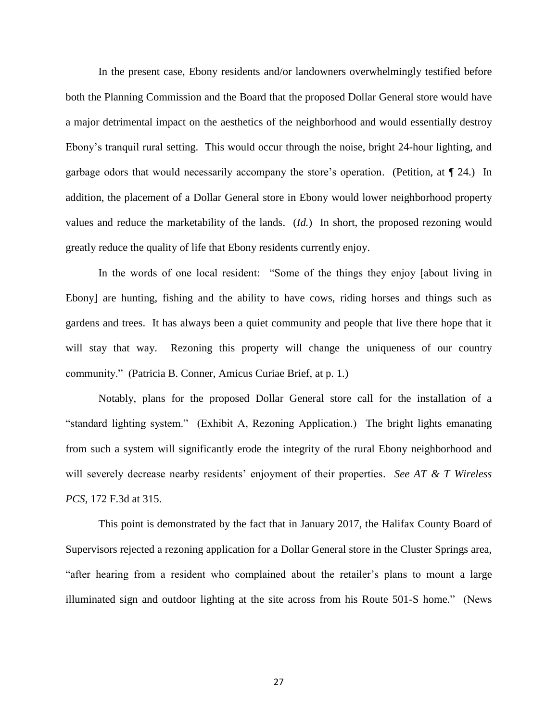In the present case, Ebony residents and/or landowners overwhelmingly testified before both the Planning Commission and the Board that the proposed Dollar General store would have a major detrimental impact on the aesthetics of the neighborhood and would essentially destroy Ebony's tranquil rural setting. This would occur through the noise, bright 24-hour lighting, and garbage odors that would necessarily accompany the store's operation. (Petition, at ¶ 24.) In addition, the placement of a Dollar General store in Ebony would lower neighborhood property values and reduce the marketability of the lands. (*Id.*) In short, the proposed rezoning would greatly reduce the quality of life that Ebony residents currently enjoy.

In the words of one local resident: "Some of the things they enjoy [about living in Ebony] are hunting, fishing and the ability to have cows, riding horses and things such as gardens and trees. It has always been a quiet community and people that live there hope that it will stay that way. Rezoning this property will change the uniqueness of our country community." (Patricia B. Conner, Amicus Curiae Brief, at p. 1.)

Notably, plans for the proposed Dollar General store call for the installation of a "standard lighting system." (Exhibit A, Rezoning Application.) The bright lights emanating from such a system will significantly erode the integrity of the rural Ebony neighborhood and will severely decrease nearby residents' enjoyment of their properties. *See AT & T Wireless PCS*, 172 F.3d at 315.

This point is demonstrated by the fact that in January 2017, the Halifax County Board of Supervisors rejected a rezoning application for a Dollar General store in the Cluster Springs area, "after hearing from a resident who complained about the retailer's plans to mount a large illuminated sign and outdoor lighting at the site across from his Route 501-S home." (News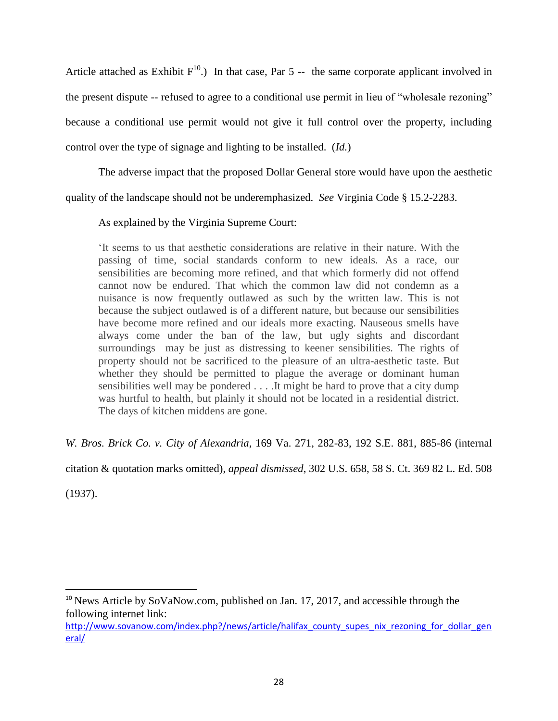Article attached as Exhibit  $F^{10}$ .) In that case, Par 5 -- the same corporate applicant involved in the present dispute -- refused to agree to a conditional use permit in lieu of "wholesale rezoning" because a conditional use permit would not give it full control over the property, including control over the type of signage and lighting to be installed. (*Id.*)

The adverse impact that the proposed Dollar General store would have upon the aesthetic

quality of the landscape should not be underemphasized. *See* Virginia Code § 15.2-2283.

As explained by the Virginia Supreme Court:

'It seems to us that aesthetic considerations are relative in their nature. With the passing of time, social standards conform to new ideals. As a race, our sensibilities are becoming more refined, and that which formerly did not offend cannot now be endured. That which the common law did not condemn as a nuisance is now frequently outlawed as such by the written law. This is not because the subject outlawed is of a different nature, but because our sensibilities have become more refined and our ideals more exacting. Nauseous smells have always come under the ban of the law, but ugly sights and discordant surroundings may be just as distressing to keener sensibilities. The rights of property should not be sacrificed to the pleasure of an ultra-aesthetic taste. But whether they should be permitted to plague the average or dominant human sensibilities well may be pondered . . . .It might be hard to prove that a city dump was hurtful to health, but plainly it should not be located in a residential district. The days of kitchen middens are gone.

*W. Bros. Brick Co. v. City of Alexandria*, 169 Va. 271, 282-83, 192 S.E. 881, 885-86 (internal

citation & quotation marks omitted), *appeal dismissed*, 302 U.S. 658, 58 S. Ct. 369 82 L. Ed. 508

(1937).

 $\overline{\phantom{a}}$ 

<sup>&</sup>lt;sup>10</sup> News Article by SoVaNow.com, published on Jan. 17, 2017, and accessible through the following internet link:

[http://www.sovanow.com/index.php?/news/article/halifax\\_county\\_supes\\_nix\\_rezoning\\_for\\_dollar\\_gen](http://www.sovanow.com/index.php?/news/article/halifax_county_supes_nix_rezoning_for_dollar_general/)\_ [eral/](http://www.sovanow.com/index.php?/news/article/halifax_county_supes_nix_rezoning_for_dollar_general/)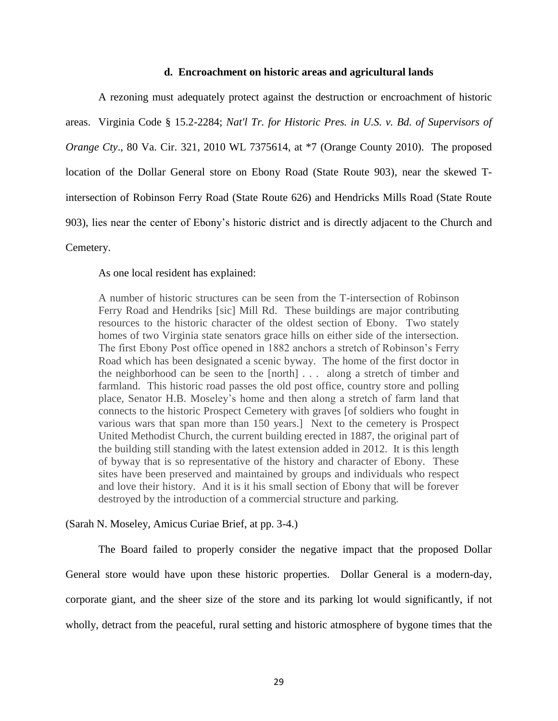#### <span id="page-29-0"></span>**d. Encroachment on historic areas and agricultural lands**

A rezoning must adequately protect against the destruction or encroachment of historic areas. Virginia Code § 15.2-2284; *Nat'l Tr. for Historic Pres. in U.S. v. Bd. of Supervisors of Orange Cty.*, 80 Va. Cir. 321, 2010 WL 7375614, at  $*7$  (Orange County 2010). The proposed location of the Dollar General store on Ebony Road (State Route 903), near the skewed Tintersection of Robinson Ferry Road (State Route 626) and Hendricks Mills Road (State Route 903), lies near the center of Ebony's historic district and is directly adjacent to the Church and Cemetery.

As one local resident has explained:

A number of historic structures can be seen from the T-intersection of Robinson Ferry Road and Hendriks [sic] Mill Rd. These buildings are major contributing resources to the historic character of the oldest section of Ebony. Two stately homes of two Virginia state senators grace hills on either side of the intersection. The first Ebony Post office opened in 1882 anchors a stretch of Robinson's Ferry Road which has been designated a scenic byway. The home of the first doctor in the neighborhood can be seen to the [north] . . . along a stretch of timber and farmland. This historic road passes the old post office, country store and polling place, Senator H.B. Moseley's home and then along a stretch of farm land that connects to the historic Prospect Cemetery with graves [of soldiers who fought in various wars that span more than 150 years.] Next to the cemetery is Prospect United Methodist Church, the current building erected in 1887, the original part of the building still standing with the latest extension added in 2012. It is this length of byway that is so representative of the history and character of Ebony. These sites have been preserved and maintained by groups and individuals who respect and love their history. And it is it his small section of Ebony that will be forever destroyed by the introduction of a commercial structure and parking.

(Sarah N. Moseley, Amicus Curiae Brief, at pp. 3-4.)

The Board failed to properly consider the negative impact that the proposed Dollar General store would have upon these historic properties. Dollar General is a modern-day, corporate giant, and the sheer size of the store and its parking lot would significantly, if not wholly, detract from the peaceful, rural setting and historic atmosphere of bygone times that the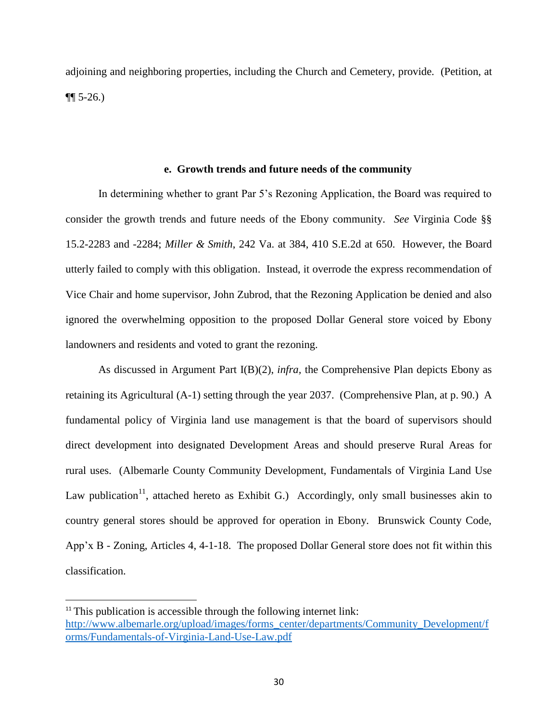adjoining and neighboring properties, including the Church and Cemetery, provide. (Petition, at  $\P\P$  5-26.)

#### <span id="page-30-0"></span>**e. Growth trends and future needs of the community**

In determining whether to grant Par 5's Rezoning Application, the Board was required to consider the growth trends and future needs of the Ebony community. *See* Virginia Code §§ 15.2-2283 and -2284; *Miller & Smith*, 242 Va. at 384, 410 S.E.2d at 650. However, the Board utterly failed to comply with this obligation. Instead, it overrode the express recommendation of Vice Chair and home supervisor, John Zubrod, that the Rezoning Application be denied and also ignored the overwhelming opposition to the proposed Dollar General store voiced by Ebony landowners and residents and voted to grant the rezoning.

As discussed in Argument Part I(B)(2), *infra,* the Comprehensive Plan depicts Ebony as retaining its Agricultural (A-1) setting through the year 2037. (Comprehensive Plan, at p. 90.) A fundamental policy of Virginia land use management is that the board of supervisors should direct development into designated Development Areas and should preserve Rural Areas for rural uses. (Albemarle County Community Development, Fundamentals of Virginia Land Use Law publication<sup>11</sup>, attached hereto as Exhibit G.) Accordingly, only small businesses akin to country general stores should be approved for operation in Ebony. Brunswick County Code, App'x B - Zoning, Articles 4, 4-1-18. The proposed Dollar General store does not fit within this classification.

 $\overline{\phantom{a}}$ 

 $11$ <sup>11</sup> This publication is accessible through the following internet link: [http://www.albemarle.org/upload/images/forms\\_center/departments/Community\\_Development/f](about:blank) [orms/Fundamentals-of-Virginia-Land-Use-Law.pdf](about:blank)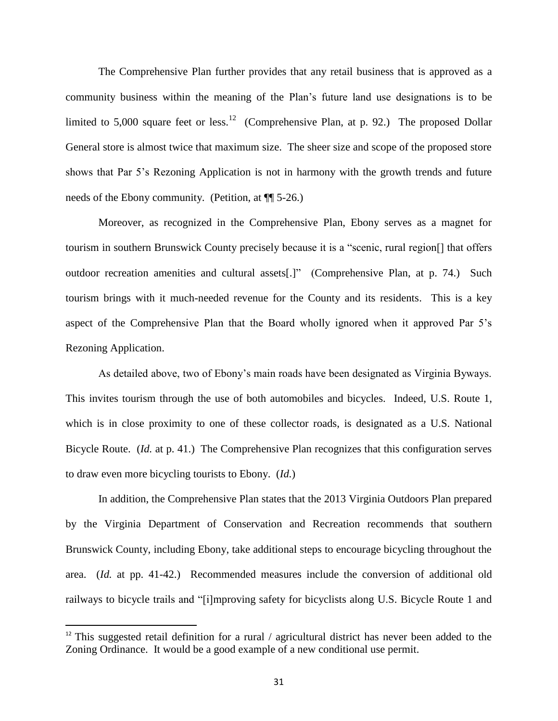The Comprehensive Plan further provides that any retail business that is approved as a community business within the meaning of the Plan's future land use designations is to be limited to 5,000 square feet or less.<sup>12</sup> (Comprehensive Plan, at p. 92.) The proposed Dollar General store is almost twice that maximum size. The sheer size and scope of the proposed store shows that Par 5's Rezoning Application is not in harmony with the growth trends and future needs of the Ebony community. (Petition, at ¶¶ 5-26.)

Moreover, as recognized in the Comprehensive Plan, Ebony serves as a magnet for tourism in southern Brunswick County precisely because it is a "scenic, rural region[] that offers outdoor recreation amenities and cultural assets[.]" (Comprehensive Plan, at p. 74.) Such tourism brings with it much-needed revenue for the County and its residents. This is a key aspect of the Comprehensive Plan that the Board wholly ignored when it approved Par 5's Rezoning Application.

As detailed above, two of Ebony's main roads have been designated as Virginia Byways. This invites tourism through the use of both automobiles and bicycles. Indeed, U.S. Route 1, which is in close proximity to one of these collector roads, is designated as a U.S. National Bicycle Route. (*Id.* at p. 41.) The Comprehensive Plan recognizes that this configuration serves to draw even more bicycling tourists to Ebony. (*Id.*)

In addition, the Comprehensive Plan states that the 2013 Virginia Outdoors Plan prepared by the Virginia Department of Conservation and Recreation recommends that southern Brunswick County, including Ebony, take additional steps to encourage bicycling throughout the area. (*Id.* at pp. 41-42.) Recommended measures include the conversion of additional old railways to bicycle trails and "[i]mproving safety for bicyclists along U.S. Bicycle Route 1 and

l

<sup>&</sup>lt;sup>12</sup> This suggested retail definition for a rural / agricultural district has never been added to the Zoning Ordinance. It would be a good example of a new conditional use permit.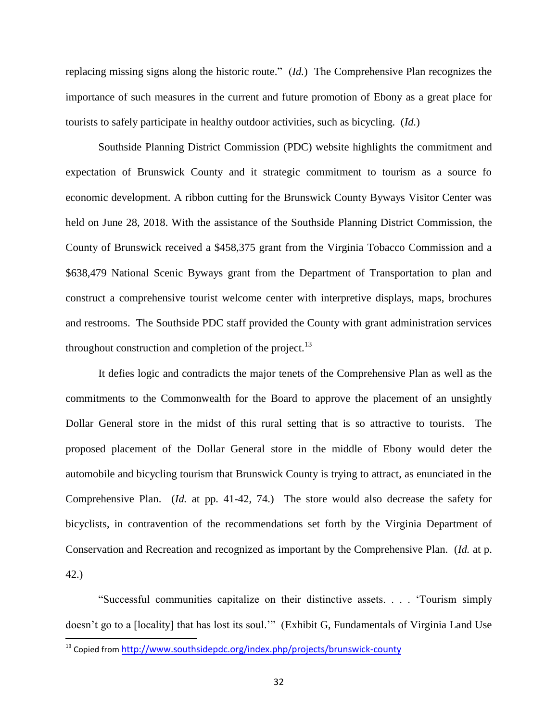replacing missing signs along the historic route." (*Id.*) The Comprehensive Plan recognizes the importance of such measures in the current and future promotion of Ebony as a great place for tourists to safely participate in healthy outdoor activities, such as bicycling. (*Id.*)

Southside Planning District Commission (PDC) website highlights the commitment and expectation of Brunswick County and it strategic commitment to tourism as a source fo economic development. A ribbon cutting for the Brunswick County Byways Visitor Center was held on June 28, 2018. With the assistance of the Southside Planning District Commission, the County of Brunswick received a \$458,375 grant from the Virginia Tobacco Commission and a \$638,479 National Scenic Byways grant from the Department of Transportation to plan and construct a comprehensive tourist welcome center with interpretive displays, maps, brochures and restrooms. The Southside PDC staff provided the County with grant administration services throughout construction and completion of the project.<sup>13</sup>

It defies logic and contradicts the major tenets of the Comprehensive Plan as well as the commitments to the Commonwealth for the Board to approve the placement of an unsightly Dollar General store in the midst of this rural setting that is so attractive to tourists. The proposed placement of the Dollar General store in the middle of Ebony would deter the automobile and bicycling tourism that Brunswick County is trying to attract, as enunciated in the Comprehensive Plan. (*Id.* at pp. 41-42, 74.) The store would also decrease the safety for bicyclists, in contravention of the recommendations set forth by the Virginia Department of Conservation and Recreation and recognized as important by the Comprehensive Plan. (*Id.* at p. 42.)

"Successful communities capitalize on their distinctive assets. . . . 'Tourism simply doesn't go to a [locality] that has lost its soul.'" (Exhibit G, Fundamentals of Virginia Land Use

 $\overline{\phantom{a}}$ 

<sup>&</sup>lt;sup>13</sup> Copied from <u><http://www.southsidepdc.org/index.php/projects/brunswick-county></u>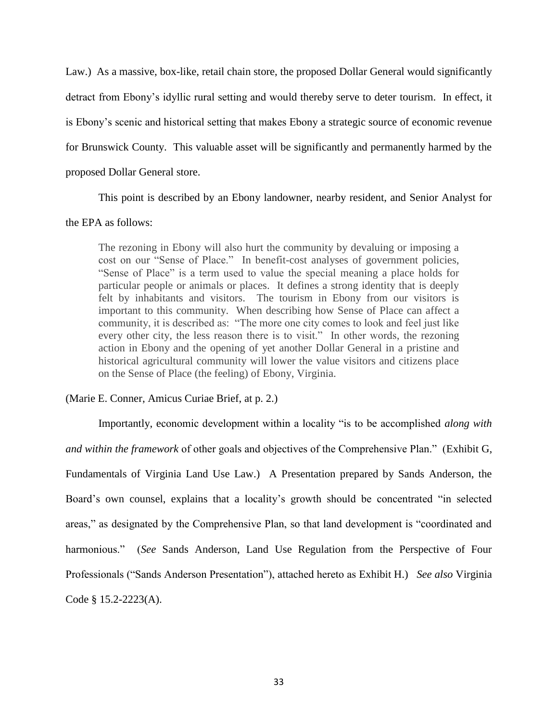Law.) As a massive, box-like, retail chain store, the proposed Dollar General would significantly detract from Ebony's idyllic rural setting and would thereby serve to deter tourism. In effect, it is Ebony's scenic and historical setting that makes Ebony a strategic source of economic revenue for Brunswick County. This valuable asset will be significantly and permanently harmed by the proposed Dollar General store.

This point is described by an Ebony landowner, nearby resident, and Senior Analyst for

# the EPA as follows:

The rezoning in Ebony will also hurt the community by devaluing or imposing a cost on our "Sense of Place." In benefit-cost analyses of government policies, "Sense of Place" is a term used to value the special meaning a place holds for particular people or animals or places. It defines a strong identity that is deeply felt by inhabitants and visitors. The tourism in Ebony from our visitors is important to this community. When describing how Sense of Place can affect a community, it is described as: "The more one city comes to look and feel just like every other city, the less reason there is to visit." In other words, the rezoning action in Ebony and the opening of yet another Dollar General in a pristine and historical agricultural community will lower the value visitors and citizens place on the Sense of Place (the feeling) of Ebony, Virginia.

# (Marie E. Conner, Amicus Curiae Brief, at p. 2.)

Importantly, economic development within a locality "is to be accomplished *along with and within the framework* of other goals and objectives of the Comprehensive Plan." (Exhibit G, Fundamentals of Virginia Land Use Law.) A Presentation prepared by Sands Anderson, the Board's own counsel, explains that a locality's growth should be concentrated "in selected areas," as designated by the Comprehensive Plan, so that land development is "coordinated and harmonious." (*See* Sands Anderson, Land Use Regulation from the Perspective of Four Professionals ("Sands Anderson Presentation"), attached hereto as Exhibit H.) *See also* Virginia Code § 15.2-2223(A).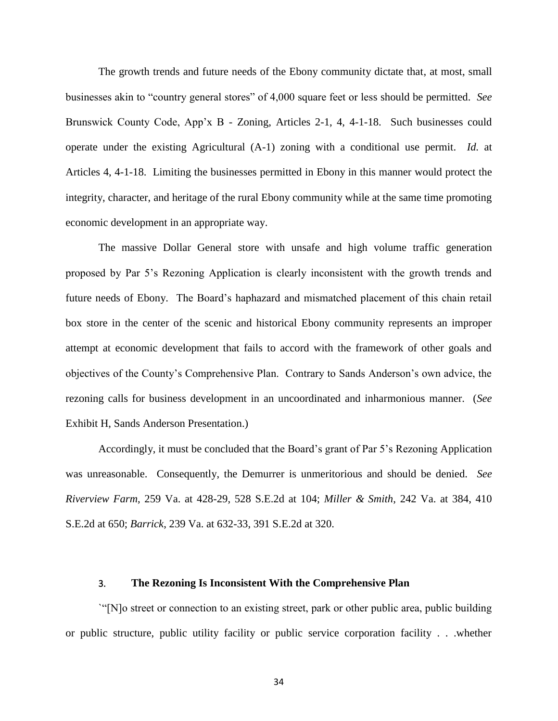The growth trends and future needs of the Ebony community dictate that, at most, small businesses akin to "country general stores" of 4,000 square feet or less should be permitted. *See*  Brunswick County Code, App'x B - Zoning, Articles 2-1, 4, 4-1-18. Such businesses could operate under the existing Agricultural (A-1) zoning with a conditional use permit. *Id.* at Articles 4, 4-1-18. Limiting the businesses permitted in Ebony in this manner would protect the integrity, character, and heritage of the rural Ebony community while at the same time promoting economic development in an appropriate way.

The massive Dollar General store with unsafe and high volume traffic generation proposed by Par 5's Rezoning Application is clearly inconsistent with the growth trends and future needs of Ebony. The Board's haphazard and mismatched placement of this chain retail box store in the center of the scenic and historical Ebony community represents an improper attempt at economic development that fails to accord with the framework of other goals and objectives of the County's Comprehensive Plan. Contrary to Sands Anderson's own advice, the rezoning calls for business development in an uncoordinated and inharmonious manner. (*See* Exhibit H, Sands Anderson Presentation.)

Accordingly, it must be concluded that the Board's grant of Par 5's Rezoning Application was unreasonable. Consequently, the Demurrer is unmeritorious and should be denied. *See Riverview Farm*, 259 Va. at 428-29, 528 S.E.2d at 104; *Miller & Smith*, 242 Va. at 384, 410 S.E.2d at 650; *Barrick*, 239 Va. at 632-33, 391 S.E.2d at 320.

### 3. **The Rezoning Is Inconsistent With the Comprehensive Plan**

<span id="page-34-0"></span>`"[N]o street or connection to an existing street, park or other public area, public building or public structure, public utility facility or public service corporation facility . . .whether

34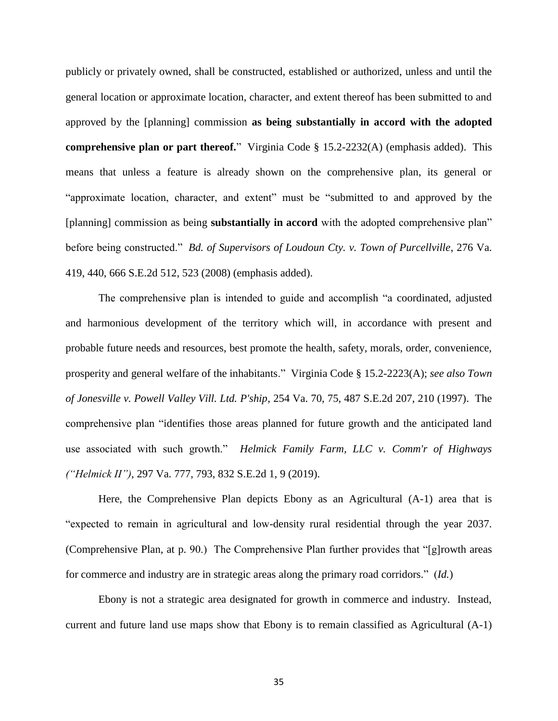publicly or privately owned, shall be constructed, established or authorized, unless and until the general location or approximate location, character, and extent thereof has been submitted to and approved by the [planning] commission **as being substantially in accord with the adopted comprehensive plan or part thereof.**" Virginia Code § 15.2-2232(A) (emphasis added). This means that unless a feature is already shown on the comprehensive plan, its general or "approximate location, character, and extent" must be "submitted to and approved by the [planning] commission as being **substantially in accord** with the adopted comprehensive plan" before being constructed." *Bd. of Supervisors of Loudoun Cty. v. Town of Purcellville*, 276 Va. 419, 440, 666 S.E.2d 512, 523 (2008) (emphasis added).

The comprehensive plan is intended to guide and accomplish "a coordinated, adjusted and harmonious development of the territory which will, in accordance with present and probable future needs and resources, best promote the health, safety, morals, order, convenience, prosperity and general welfare of the inhabitants." Virginia Code § 15.2-2223(A); *see also Town of Jonesville v. Powell Valley Vill. Ltd. P'ship*, 254 Va. 70, 75, 487 S.E.2d 207, 210 (1997). The comprehensive plan "identifies those areas planned for future growth and the anticipated land use associated with such growth." *Helmick Family Farm, LLC v. Comm'r of Highways ("Helmick II")*, 297 Va. 777, 793, 832 S.E.2d 1, 9 (2019).

Here, the Comprehensive Plan depicts Ebony as an Agricultural (A-1) area that is "expected to remain in agricultural and low-density rural residential through the year 2037. (Comprehensive Plan, at p. 90.) The Comprehensive Plan further provides that "[g]rowth areas for commerce and industry are in strategic areas along the primary road corridors." (*Id.*)

Ebony is not a strategic area designated for growth in commerce and industry. Instead, current and future land use maps show that Ebony is to remain classified as Agricultural (A-1)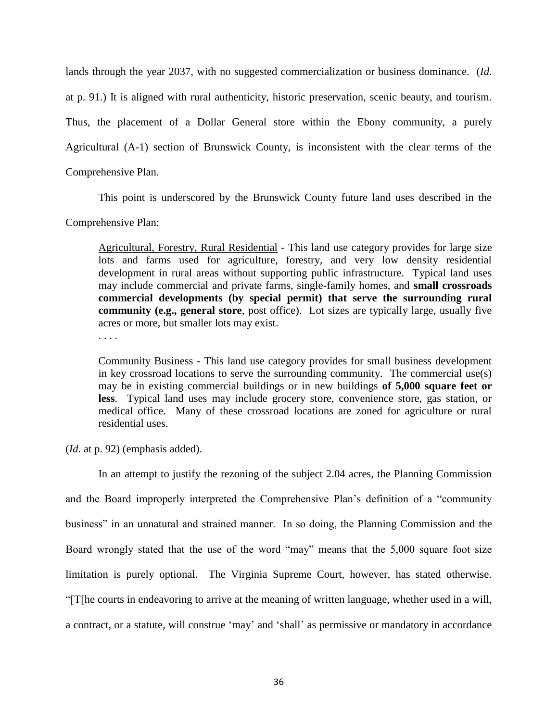lands through the year 2037, with no suggested commercialization or business dominance. (*Id.* at p. 91.) It is aligned with rural authenticity, historic preservation, scenic beauty, and tourism. Thus, the placement of a Dollar General store within the Ebony community, a purely Agricultural (A-1) section of Brunswick County, is inconsistent with the clear terms of the Comprehensive Plan.

This point is underscored by the Brunswick County future land uses described in the

Comprehensive Plan:

Agricultural, Forestry, Rural Residential - This land use category provides for large size lots and farms used for agriculture, forestry, and very low density residential development in rural areas without supporting public infrastructure. Typical land uses may include commercial and private farms, single-family homes, and **small crossroads commercial developments (by special permit) that serve the surrounding rural community (e.g., general store**, post office). Lot sizes are typically large, usually five acres or more, but smaller lots may exist.

. . . .

Community Business - This land use category provides for small business development in key crossroad locations to serve the surrounding community. The commercial use(s) may be in existing commercial buildings or in new buildings **of 5,000 square feet or less**. Typical land uses may include grocery store, convenience store, gas station, or medical office. Many of these crossroad locations are zoned for agriculture or rural residential uses.

(*Id.* at p. 92) (emphasis added).

In an attempt to justify the rezoning of the subject 2.04 acres, the Planning Commission and the Board improperly interpreted the Comprehensive Plan's definition of a "community business" in an unnatural and strained manner. In so doing, the Planning Commission and the Board wrongly stated that the use of the word "may" means that the 5,000 square foot size limitation is purely optional. The Virginia Supreme Court, however, has stated otherwise. "[T[he courts in endeavoring to arrive at the meaning of written language, whether used in a will, a contract, or a statute, will construe 'may' and 'shall' as permissive or mandatory in accordance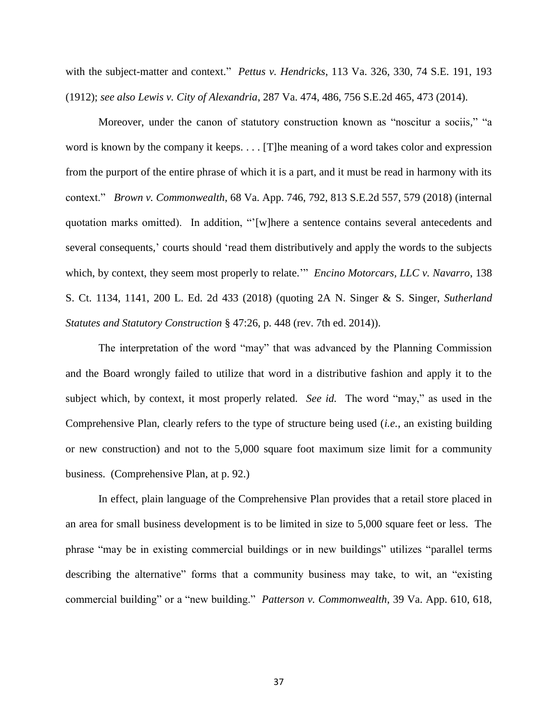with the subject-matter and context." *Pettus v. Hendricks*, 113 Va. 326, 330, 74 S.E. 191, 193 (1912); *see also Lewis v. City of Alexandria*, 287 Va. 474, 486, 756 S.E.2d 465, 473 (2014).

Moreover, under the canon of statutory construction known as "noscitur a sociis," "a word is known by the company it keeps. . . . [T]he meaning of a word takes color and expression from the purport of the entire phrase of which it is a part, and it must be read in harmony with its context." *Brown v. Commonwealth*, 68 Va. App. 746, 792, 813 S.E.2d 557, 579 (2018) (internal quotation marks omitted). In addition, "'[w]here a sentence contains several antecedents and several consequents,' courts should 'read them distributively and apply the words to the subjects which, by context, they seem most properly to relate.'" *Encino Motorcars, LLC v. Navarro*, 138 S. Ct. 1134, 1141, 200 L. Ed. 2d 433 (2018) (quoting 2A N. Singer & S. Singer, *Sutherland Statutes and Statutory Construction* § 47:26, p. 448 (rev. 7th ed. 2014)).

The interpretation of the word "may" that was advanced by the Planning Commission and the Board wrongly failed to utilize that word in a distributive fashion and apply it to the subject which, by context, it most properly related. *See id.* The word "may," as used in the Comprehensive Plan, clearly refers to the type of structure being used (*i.e.*, an existing building or new construction) and not to the 5,000 square foot maximum size limit for a community business. (Comprehensive Plan, at p. 92.)

In effect, plain language of the Comprehensive Plan provides that a retail store placed in an area for small business development is to be limited in size to 5,000 square feet or less. The phrase "may be in existing commercial buildings or in new buildings" utilizes "parallel terms describing the alternative" forms that a community business may take, to wit, an "existing commercial building" or a "new building." *Patterson v. Commonwealth*, 39 Va. App. 610, 618,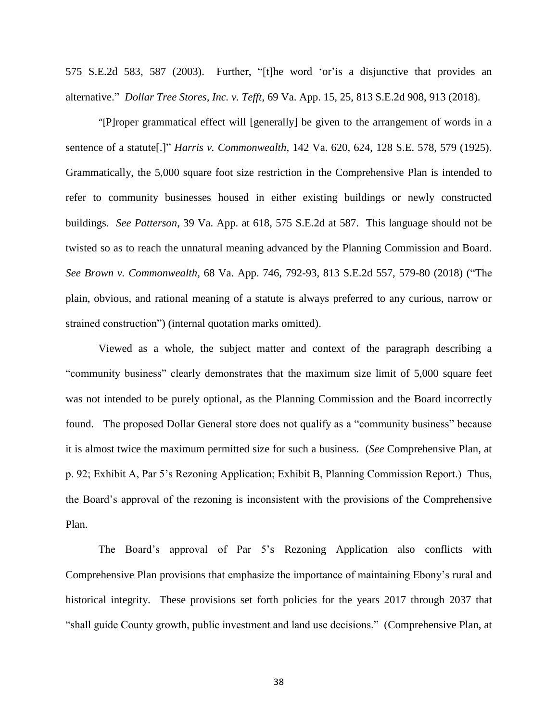575 S.E.2d 583, 587 (2003). Further, "[t]he word 'or'is a disjunctive that provides an alternative." *Dollar Tree Stores, Inc. v. Tefft*, 69 Va. App. 15, 25, 813 S.E.2d 908, 913 (2018).

"[P]roper grammatical effect will [generally] be given to the arrangement of words in a sentence of a statute[.]" *Harris v. Commonwealth*, 142 Va. 620, 624, 128 S.E. 578, 579 (1925). Grammatically, the 5,000 square foot size restriction in the Comprehensive Plan is intended to refer to community businesses housed in either existing buildings or newly constructed buildings. *See Patterson*, 39 Va. App. at 618, 575 S.E.2d at 587. This language should not be twisted so as to reach the unnatural meaning advanced by the Planning Commission and Board. *See Brown v. Commonwealth*, 68 Va. App. 746, 792-93, 813 S.E.2d 557, 579-80 (2018) ("The plain, obvious, and rational meaning of a statute is always preferred to any curious, narrow or strained construction") (internal quotation marks omitted).

Viewed as a whole, the subject matter and context of the paragraph describing a "community business" clearly demonstrates that the maximum size limit of 5,000 square feet was not intended to be purely optional, as the Planning Commission and the Board incorrectly found. The proposed Dollar General store does not qualify as a "community business" because it is almost twice the maximum permitted size for such a business. (*See* Comprehensive Plan, at p. 92; Exhibit A, Par 5's Rezoning Application; Exhibit B, Planning Commission Report.) Thus, the Board's approval of the rezoning is inconsistent with the provisions of the Comprehensive Plan.

 The Board's approval of Par 5's Rezoning Application also conflicts with Comprehensive Plan provisions that emphasize the importance of maintaining Ebony's rural and historical integrity. These provisions set forth policies for the years 2017 through 2037 that "shall guide County growth, public investment and land use decisions." (Comprehensive Plan, at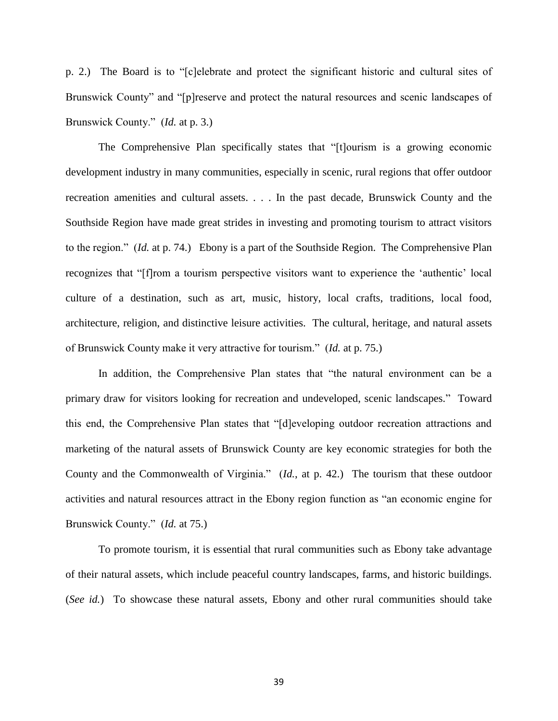p. 2.) The Board is to "[c]elebrate and protect the significant historic and cultural sites of Brunswick County" and "[p]reserve and protect the natural resources and scenic landscapes of Brunswick County." (*Id.* at p. 3.)

The Comprehensive Plan specifically states that "[t]ourism is a growing economic development industry in many communities, especially in scenic, rural regions that offer outdoor recreation amenities and cultural assets. . . . In the past decade, Brunswick County and the Southside Region have made great strides in investing and promoting tourism to attract visitors to the region." (*Id.* at p. 74.) Ebony is a part of the Southside Region. The Comprehensive Plan recognizes that "[f]rom a tourism perspective visitors want to experience the 'authentic' local culture of a destination, such as art, music, history, local crafts, traditions, local food, architecture, religion, and distinctive leisure activities. The cultural, heritage, and natural assets of Brunswick County make it very attractive for tourism." (*Id.* at p. 75.)

In addition, the Comprehensive Plan states that "the natural environment can be a primary draw for visitors looking for recreation and undeveloped, scenic landscapes." Toward this end, the Comprehensive Plan states that "[d]eveloping outdoor recreation attractions and marketing of the natural assets of Brunswick County are key economic strategies for both the County and the Commonwealth of Virginia." (*Id.*, at p. 42.) The tourism that these outdoor activities and natural resources attract in the Ebony region function as "an economic engine for Brunswick County." (*Id.* at 75.)

To promote tourism, it is essential that rural communities such as Ebony take advantage of their natural assets, which include peaceful country landscapes, farms, and historic buildings. (*See id.*) To showcase these natural assets, Ebony and other rural communities should take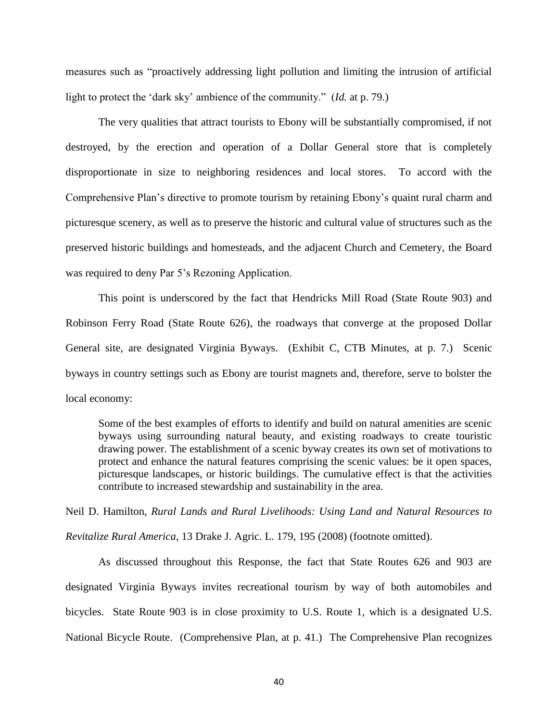measures such as "proactively addressing light pollution and limiting the intrusion of artificial light to protect the 'dark sky' ambience of the community." (*Id.* at p. 79.)

The very qualities that attract tourists to Ebony will be substantially compromised, if not destroyed, by the erection and operation of a Dollar General store that is completely disproportionate in size to neighboring residences and local stores. To accord with the Comprehensive Plan's directive to promote tourism by retaining Ebony's quaint rural charm and picturesque scenery, as well as to preserve the historic and cultural value of structures such as the preserved historic buildings and homesteads, and the adjacent Church and Cemetery, the Board was required to deny Par 5's Rezoning Application.

This point is underscored by the fact that Hendricks Mill Road (State Route 903) and Robinson Ferry Road (State Route 626), the roadways that converge at the proposed Dollar General site, are designated Virginia Byways. (Exhibit C, CTB Minutes, at p. 7.) Scenic byways in country settings such as Ebony are tourist magnets and, therefore, serve to bolster the local economy:

Some of the best examples of efforts to identify and build on natural amenities are scenic byways using surrounding natural beauty, and existing roadways to create touristic drawing power. The establishment of a scenic byway creates its own set of motivations to protect and enhance the natural features comprising the scenic values: be it open spaces, picturesque landscapes, or historic buildings. The cumulative effect is that the activities contribute to increased stewardship and sustainability in the area.

Neil D. Hamilton, *Rural Lands and Rural Livelihoods: Using Land and Natural Resources to Revitalize Rural America*, 13 Drake J. Agric. L. 179, 195 (2008) (footnote omitted).

As discussed throughout this Response, the fact that State Routes 626 and 903 are designated Virginia Byways invites recreational tourism by way of both automobiles and bicycles. State Route 903 is in close proximity to U.S. Route 1, which is a designated U.S. National Bicycle Route. (Comprehensive Plan, at p. 41.) The Comprehensive Plan recognizes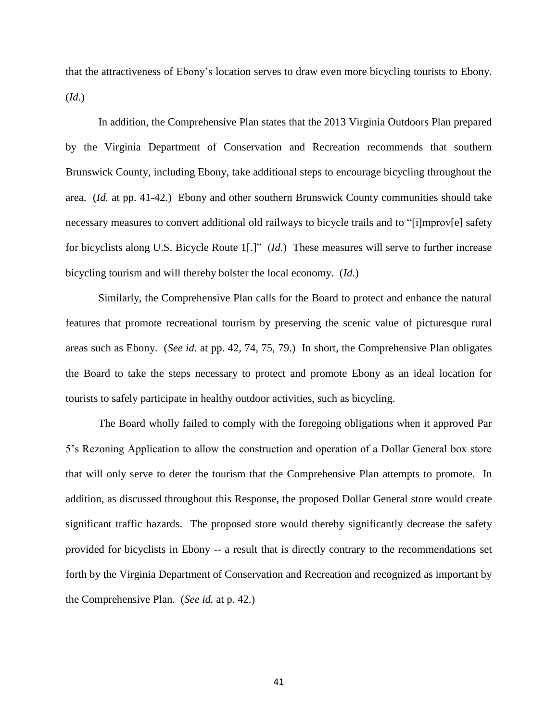that the attractiveness of Ebony's location serves to draw even more bicycling tourists to Ebony. (*Id.*)

In addition, the Comprehensive Plan states that the 2013 Virginia Outdoors Plan prepared by the Virginia Department of Conservation and Recreation recommends that southern Brunswick County, including Ebony, take additional steps to encourage bicycling throughout the area. (*Id.* at pp. 41-42.) Ebony and other southern Brunswick County communities should take necessary measures to convert additional old railways to bicycle trails and to "[i]mprov[e] safety for bicyclists along U.S. Bicycle Route 1[.]" (*Id.*) These measures will serve to further increase bicycling tourism and will thereby bolster the local economy. (*Id.*)

Similarly, the Comprehensive Plan calls for the Board to protect and enhance the natural features that promote recreational tourism by preserving the scenic value of picturesque rural areas such as Ebony. (*See id.* at pp. 42, 74, 75, 79.) In short, the Comprehensive Plan obligates the Board to take the steps necessary to protect and promote Ebony as an ideal location for tourists to safely participate in healthy outdoor activities, such as bicycling.

The Board wholly failed to comply with the foregoing obligations when it approved Par 5's Rezoning Application to allow the construction and operation of a Dollar General box store that will only serve to deter the tourism that the Comprehensive Plan attempts to promote. In addition, as discussed throughout this Response, the proposed Dollar General store would create significant traffic hazards. The proposed store would thereby significantly decrease the safety provided for bicyclists in Ebony -- a result that is directly contrary to the recommendations set forth by the Virginia Department of Conservation and Recreation and recognized as important by the Comprehensive Plan. (*See id.* at p. 42.)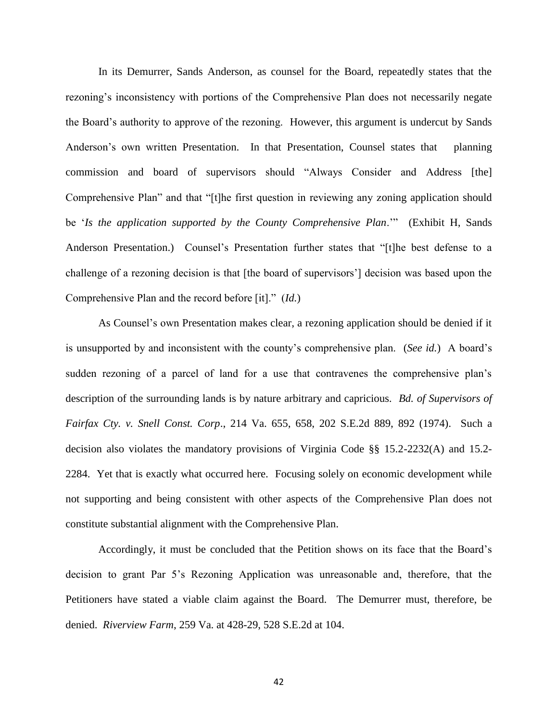In its Demurrer, Sands Anderson, as counsel for the Board, repeatedly states that the rezoning's inconsistency with portions of the Comprehensive Plan does not necessarily negate the Board's authority to approve of the rezoning. However, this argument is undercut by Sands Anderson's own written Presentation. In that Presentation, Counsel states that planning commission and board of supervisors should "Always Consider and Address [the] Comprehensive Plan" and that "[t]he first question in reviewing any zoning application should be '*Is the application supported by the County Comprehensive Plan*.'" (Exhibit H, Sands Anderson Presentation.) Counsel's Presentation further states that "[t]he best defense to a challenge of a rezoning decision is that [the board of supervisors'] decision was based upon the Comprehensive Plan and the record before [it]." (*Id.*)

As Counsel's own Presentation makes clear, a rezoning application should be denied if it is unsupported by and inconsistent with the county's comprehensive plan. (*See id.*) A board's sudden rezoning of a parcel of land for a use that contravenes the comprehensive plan's description of the surrounding lands is by nature arbitrary and capricious. *Bd. of Supervisors of Fairfax Cty. v. Snell Const. Corp*., 214 Va. 655, 658, 202 S.E.2d 889, 892 (1974). Such a decision also violates the mandatory provisions of Virginia Code §§ 15.2-2232(A) and 15.2- 2284. Yet that is exactly what occurred here. Focusing solely on economic development while not supporting and being consistent with other aspects of the Comprehensive Plan does not constitute substantial alignment with the Comprehensive Plan.

Accordingly, it must be concluded that the Petition shows on its face that the Board's decision to grant Par 5's Rezoning Application was unreasonable and, therefore, that the Petitioners have stated a viable claim against the Board. The Demurrer must, therefore, be denied. *Riverview Farm*, 259 Va. at 428-29, 528 S.E.2d at 104.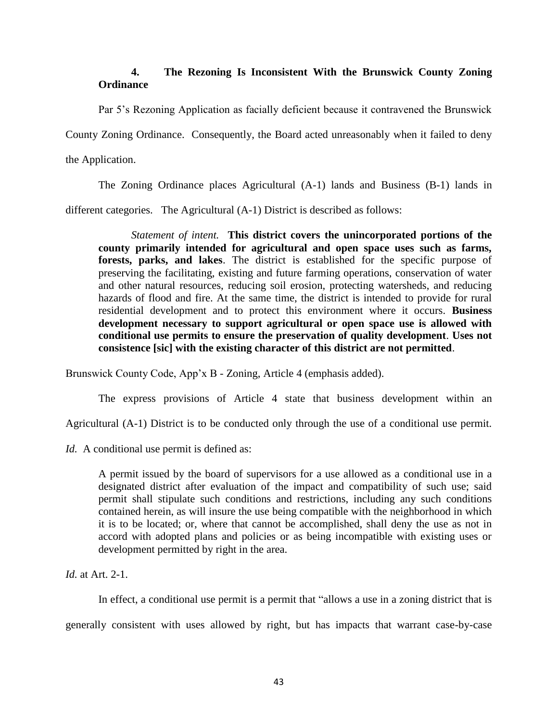# <span id="page-43-0"></span>**4. The Rezoning Is Inconsistent With the Brunswick County Zoning Ordinance**

Par 5's Rezoning Application as facially deficient because it contravened the Brunswick

County Zoning Ordinance. Consequently, the Board acted unreasonably when it failed to deny

the Application.

The Zoning Ordinance places Agricultural (A-1) lands and Business (B-1) lands in

different categories. The Agricultural (A-1) District is described as follows:

*Statement of intent.* **This district covers the unincorporated portions of the county primarily intended for agricultural and open space uses such as farms, forests, parks, and lakes**. The district is established for the specific purpose of preserving the facilitating, existing and future farming operations, conservation of water and other natural resources, reducing soil erosion, protecting watersheds, and reducing hazards of flood and fire. At the same time, the district is intended to provide for rural residential development and to protect this environment where it occurs. **Business development necessary to support agricultural or open space use is allowed with conditional use permits to ensure the preservation of quality development**. **Uses not consistence [sic] with the existing character of this district are not permitted**.

Brunswick County Code, App'x B - Zoning, Article 4 (emphasis added).

The express provisions of Article 4 state that business development within an

Agricultural (A-1) District is to be conducted only through the use of a conditional use permit.

*Id.* A conditional use permit is defined as:

A permit issued by the board of supervisors for a use allowed as a conditional use in a designated district after evaluation of the impact and compatibility of such use; said permit shall stipulate such conditions and restrictions, including any such conditions contained herein, as will insure the use being compatible with the neighborhood in which it is to be located; or, where that cannot be accomplished, shall deny the use as not in accord with adopted plans and policies or as being incompatible with existing uses or development permitted by right in the area.

*Id.* at Art. 2-1.

In effect, a conditional use permit is a permit that "allows a use in a zoning district that is generally consistent with uses allowed by right, but has impacts that warrant case-by-case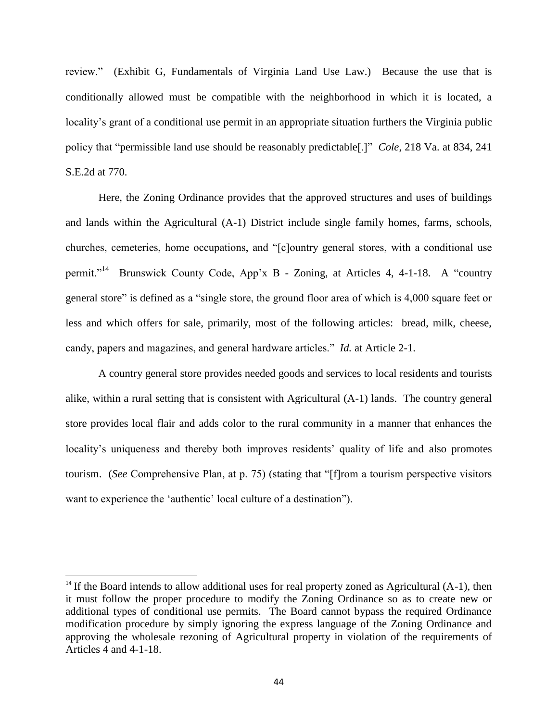review." (Exhibit G, Fundamentals of Virginia Land Use Law.) Because the use that is conditionally allowed must be compatible with the neighborhood in which it is located, a locality's grant of a conditional use permit in an appropriate situation furthers the Virginia public policy that "permissible land use should be reasonably predictable[.]" *Cole*, 218 Va. at 834, 241 S.E.2d at 770.

Here, the Zoning Ordinance provides that the approved structures and uses of buildings and lands within the Agricultural (A-1) District include single family homes, farms, schools, churches, cemeteries, home occupations, and "[c]ountry general stores, with a conditional use permit."<sup>14</sup> Brunswick County Code, App'x B - Zoning, at Articles 4, 4-1-18. A "country general store" is defined as a "single store, the ground floor area of which is 4,000 square feet or less and which offers for sale, primarily, most of the following articles: bread, milk, cheese, candy, papers and magazines, and general hardware articles." *Id.* at Article 2-1.

A country general store provides needed goods and services to local residents and tourists alike, within a rural setting that is consistent with Agricultural (A-1) lands. The country general store provides local flair and adds color to the rural community in a manner that enhances the locality's uniqueness and thereby both improves residents' quality of life and also promotes tourism. (*See* Comprehensive Plan, at p. 75) (stating that "[f]rom a tourism perspective visitors want to experience the 'authentic' local culture of a destination").

 $\overline{a}$ 

 $14$  If the Board intends to allow additional uses for real property zoned as Agricultural (A-1), then it must follow the proper procedure to modify the Zoning Ordinance so as to create new or additional types of conditional use permits. The Board cannot bypass the required Ordinance modification procedure by simply ignoring the express language of the Zoning Ordinance and approving the wholesale rezoning of Agricultural property in violation of the requirements of Articles 4 and 4-1-18.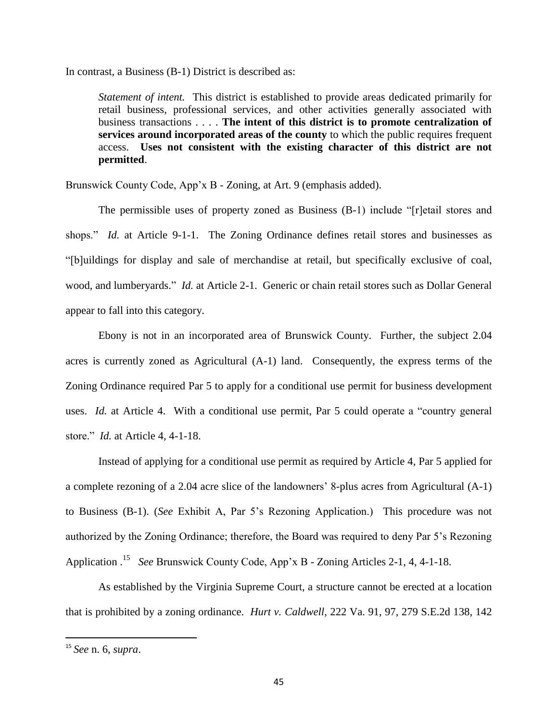In contrast, a Business (B-1) District is described as:

*Statement of intent.* This district is established to provide areas dedicated primarily for retail business, professional services, and other activities generally associated with business transactions . . . . **The intent of this district is to promote centralization of services around incorporated areas of the county** to which the public requires frequent access. **Uses not consistent with the existing character of this district are not permitted**.

Brunswick County Code, App'x B - Zoning, at Art. 9 (emphasis added).

The permissible uses of property zoned as Business (B-1) include "[r]etail stores and shops." *Id.* at Article 9-1-1. The Zoning Ordinance defines retail stores and businesses as "[b]uildings for display and sale of merchandise at retail, but specifically exclusive of coal, wood, and lumberyards." *Id.* at Article 2-1. Generic or chain retail stores such as Dollar General appear to fall into this category.

Ebony is not in an incorporated area of Brunswick County. Further, the subject 2.04 acres is currently zoned as Agricultural (A-1) land. Consequently, the express terms of the Zoning Ordinance required Par 5 to apply for a conditional use permit for business development uses. *Id.* at Article 4. With a conditional use permit, Par 5 could operate a "country general store." *Id.* at Article 4, 4-1-18.

Instead of applying for a conditional use permit as required by Article 4, Par 5 applied for a complete rezoning of a 2.04 acre slice of the landowners' 8-plus acres from Agricultural (A-1) to Business (B-1). (*See* Exhibit A, Par 5's Rezoning Application.) This procedure was not authorized by the Zoning Ordinance; therefore, the Board was required to deny Par 5's Rezoning Application . 15 *See* Brunswick County Code, App'x B - Zoning Articles 2-1, 4, 4-1-18.

As established by the Virginia Supreme Court, a structure cannot be erected at a location that is prohibited by a zoning ordinance. *Hurt v. Caldwell*, 222 Va. 91, 97, 279 S.E.2d 138, 142

 $\overline{a}$ 

<sup>15</sup> *See* n. 6, *supra*.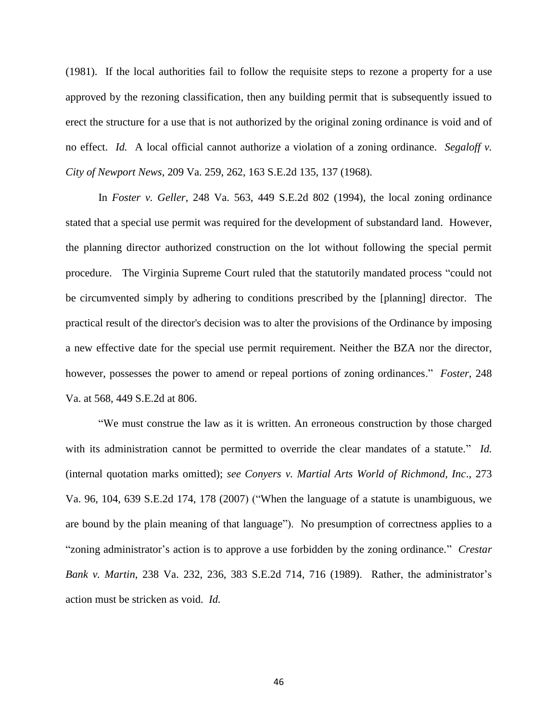(1981). If the local authorities fail to follow the requisite steps to rezone a property for a use approved by the rezoning classification, then any building permit that is subsequently issued to erect the structure for a use that is not authorized by the original zoning ordinance is void and of no effect. *Id.* A local official cannot authorize a violation of a zoning ordinance. *Segaloff v. City of Newport News*, 209 Va. 259, 262, 163 S.E.2d 135, 137 (1968).

In *Foster v. Geller*, 248 Va. 563, 449 S.E.2d 802 (1994), the local zoning ordinance stated that a special use permit was required for the development of substandard land. However, the planning director authorized construction on the lot without following the special permit procedure. The Virginia Supreme Court ruled that the statutorily mandated process "could not be circumvented simply by adhering to conditions prescribed by the [planning] director. The practical result of the director's decision was to alter the provisions of the Ordinance by imposing a new effective date for the special use permit requirement. Neither the BZA nor the director, however, possesses the power to amend or repeal portions of zoning ordinances." *Foster*, 248 Va. at 568, 449 S.E.2d at 806.

"We must construe the law as it is written. An erroneous construction by those charged with its administration cannot be permitted to override the clear mandates of a statute." *Id.* (internal quotation marks omitted); *see Conyers v. Martial Arts World of Richmond, Inc*., 273 Va. 96, 104, 639 S.E.2d 174, 178 (2007) ("When the language of a statute is unambiguous, we are bound by the plain meaning of that language"). No presumption of correctness applies to a "zoning administrator's action is to approve a use forbidden by the zoning ordinance." *Crestar Bank v. Martin*, 238 Va. 232, 236, 383 S.E.2d 714, 716 (1989). Rather, the administrator's action must be stricken as void. *Id.*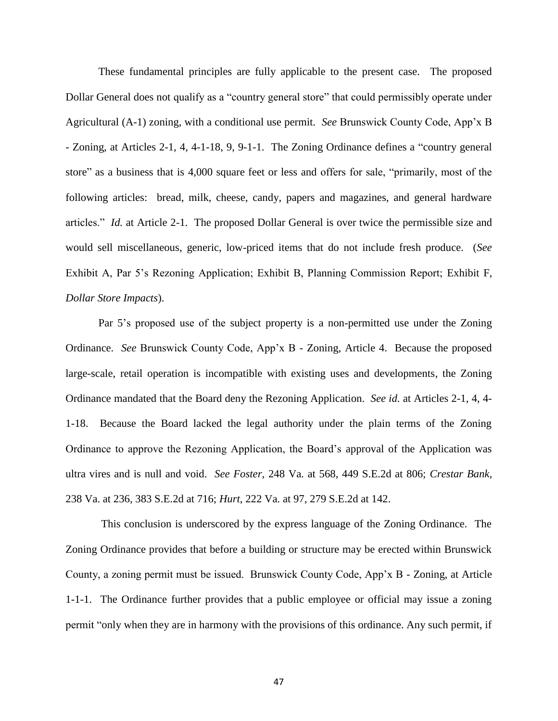These fundamental principles are fully applicable to the present case. The proposed Dollar General does not qualify as a "country general store" that could permissibly operate under Agricultural (A-1) zoning, with a conditional use permit. *See* Brunswick County Code, App'x B - Zoning, at Articles 2-1, 4, 4-1-18, 9, 9-1-1. The Zoning Ordinance defines a "country general store" as a business that is 4,000 square feet or less and offers for sale, "primarily, most of the following articles: bread, milk, cheese, candy, papers and magazines, and general hardware articles." *Id.* at Article 2-1. The proposed Dollar General is over twice the permissible size and would sell miscellaneous, generic, low-priced items that do not include fresh produce. (*See* Exhibit A, Par 5's Rezoning Application; Exhibit B, Planning Commission Report; Exhibit F, *Dollar Store Impacts*).

Par 5's proposed use of the subject property is a non-permitted use under the Zoning Ordinance. *See* Brunswick County Code, App'x B - Zoning, Article 4. Because the proposed large-scale, retail operation is incompatible with existing uses and developments, the Zoning Ordinance mandated that the Board deny the Rezoning Application. *See id.* at Articles 2-1, 4, 4- 1-18. Because the Board lacked the legal authority under the plain terms of the Zoning Ordinance to approve the Rezoning Application, the Board's approval of the Application was ultra vires and is null and void. *See Foster*, 248 Va. at 568, 449 S.E.2d at 806; *Crestar Bank*, 238 Va. at 236, 383 S.E.2d at 716; *Hurt*, 222 Va. at 97, 279 S.E.2d at 142.

This conclusion is underscored by the express language of the Zoning Ordinance. The Zoning Ordinance provides that before a building or structure may be erected within Brunswick County, a zoning permit must be issued. Brunswick County Code, App'x B - Zoning, at Article 1-1-1. The Ordinance further provides that a public employee or official may issue a zoning permit "only when they are in harmony with the provisions of this ordinance. Any such permit, if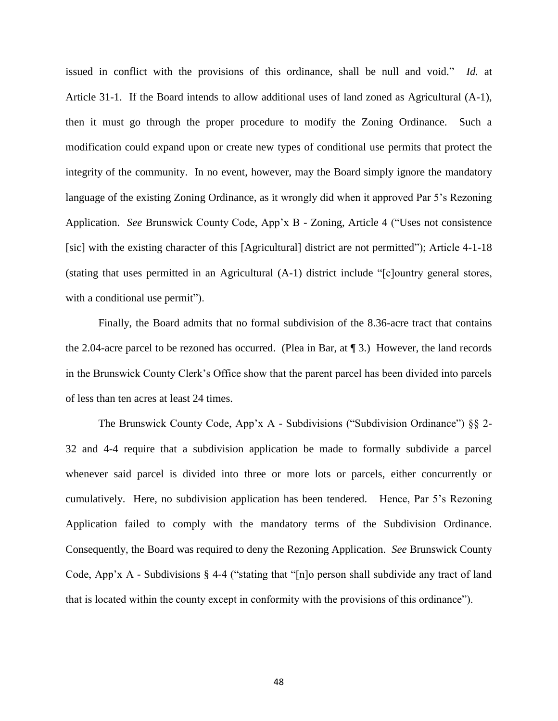issued in conflict with the provisions of this ordinance, shall be null and void." *Id.* at Article 31-1. If the Board intends to allow additional uses of land zoned as Agricultural (A-1), then it must go through the proper procedure to modify the Zoning Ordinance. Such a modification could expand upon or create new types of conditional use permits that protect the integrity of the community. In no event, however, may the Board simply ignore the mandatory language of the existing Zoning Ordinance, as it wrongly did when it approved Par 5's Rezoning Application. *See* Brunswick County Code, App'x B - Zoning, Article 4 ("Uses not consistence [sic] with the existing character of this [Agricultural] district are not permitted"); Article 4-1-18 (stating that uses permitted in an Agricultural (A-1) district include "[c]ountry general stores, with a conditional use permit").

Finally, the Board admits that no formal subdivision of the 8.36-acre tract that contains the 2.04-acre parcel to be rezoned has occurred. (Plea in Bar, at ¶ 3.) However, the land records in the Brunswick County Clerk's Office show that the parent parcel has been divided into parcels of less than ten acres at least 24 times.

The Brunswick County Code, App'x A - Subdivisions ("Subdivision Ordinance") §§ 2- 32 and 4-4 require that a subdivision application be made to formally subdivide a parcel whenever said parcel is divided into three or more lots or parcels, either concurrently or cumulatively. Here, no subdivision application has been tendered. Hence, Par 5's Rezoning Application failed to comply with the mandatory terms of the Subdivision Ordinance. Consequently, the Board was required to deny the Rezoning Application. *See* Brunswick County Code, App'x A - Subdivisions § 4-4 ("stating that "[n]o person shall subdivide any tract of land that is located within the county except in conformity with the provisions of this ordinance").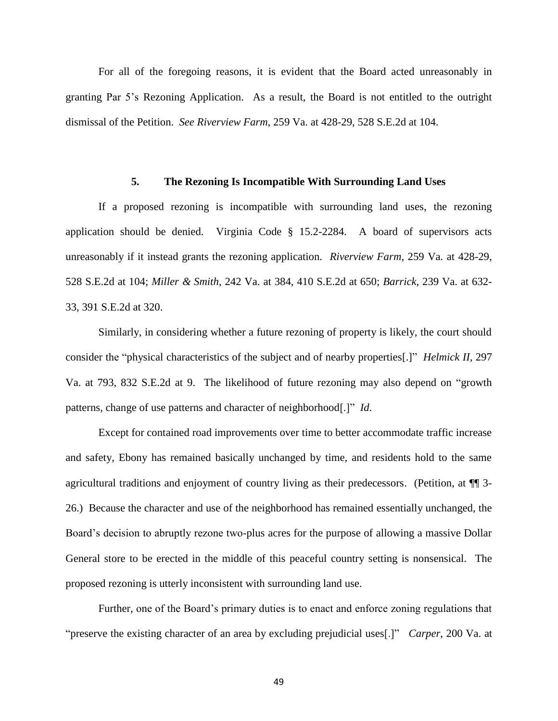For all of the foregoing reasons, it is evident that the Board acted unreasonably in granting Par 5's Rezoning Application. As a result, the Board is not entitled to the outright dismissal of the Petition. *See Riverview Farm*, 259 Va. at 428-29, 528 S.E.2d at 104.

#### <span id="page-49-0"></span>**5. The Rezoning Is Incompatible With Surrounding Land Uses**

If a proposed rezoning is incompatible with surrounding land uses, the rezoning application should be denied. Virginia Code § 15.2-2284. A board of supervisors acts unreasonably if it instead grants the rezoning application. *Riverview Farm*, 259 Va. at 428-29, 528 S.E.2d at 104; *Miller & Smith*, 242 Va. at 384, 410 S.E.2d at 650; *Barrick*, 239 Va. at 632- 33, 391 S.E.2d at 320.

Similarly, in considering whether a future rezoning of property is likely, the court should consider the "physical characteristics of the subject and of nearby properties[.]" *Helmick II*, 297 Va. at 793, 832 S.E.2d at 9. The likelihood of future rezoning may also depend on "growth patterns, change of use patterns and character of neighborhood[.]" *Id*.

Except for contained road improvements over time to better accommodate traffic increase and safety, Ebony has remained basically unchanged by time, and residents hold to the same agricultural traditions and enjoyment of country living as their predecessors. (Petition, at ¶¶ 3- 26.) Because the character and use of the neighborhood has remained essentially unchanged, the Board's decision to abruptly rezone two-plus acres for the purpose of allowing a massive Dollar General store to be erected in the middle of this peaceful country setting is nonsensical. The proposed rezoning is utterly inconsistent with surrounding land use.

Further, one of the Board's primary duties is to enact and enforce zoning regulations that "preserve the existing character of an area by excluding prejudicial uses[.]" *Carper*, 200 Va. at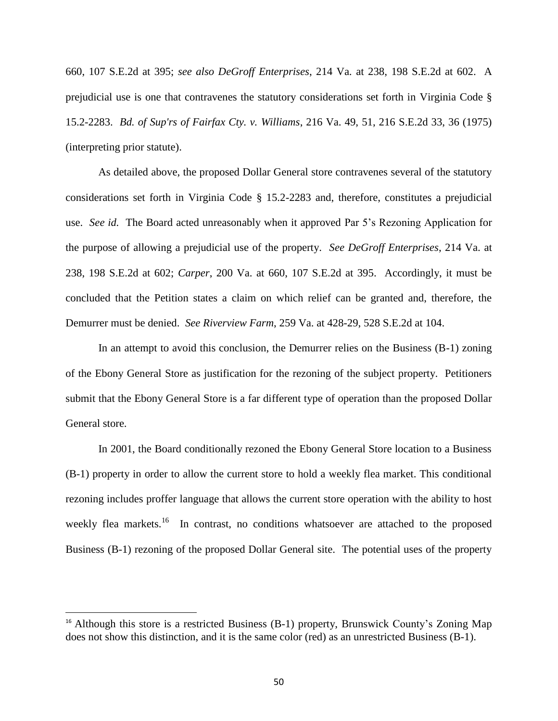660, 107 S.E.2d at 395; *see also DeGroff Enterprises*, 214 Va. at 238, 198 S.E.2d at 602. A prejudicial use is one that contravenes the statutory considerations set forth in Virginia Code § 15.2-2283. *Bd. of Sup'rs of Fairfax Cty. v. Williams*, 216 Va. 49, 51, 216 S.E.2d 33, 36 (1975) (interpreting prior statute).

As detailed above, the proposed Dollar General store contravenes several of the statutory considerations set forth in Virginia Code § 15.2-2283 and, therefore, constitutes a prejudicial use. *See id.* The Board acted unreasonably when it approved Par 5's Rezoning Application for the purpose of allowing a prejudicial use of the property. *See DeGroff Enterprises*, 214 Va. at 238, 198 S.E.2d at 602; *Carper*, 200 Va. at 660, 107 S.E.2d at 395. Accordingly, it must be concluded that the Petition states a claim on which relief can be granted and, therefore, the Demurrer must be denied. *See Riverview Farm*, 259 Va. at 428-29, 528 S.E.2d at 104.

In an attempt to avoid this conclusion, the Demurrer relies on the Business (B-1) zoning of the Ebony General Store as justification for the rezoning of the subject property. Petitioners submit that the Ebony General Store is a far different type of operation than the proposed Dollar General store.

In 2001, the Board conditionally rezoned the Ebony General Store location to a Business (B-1) property in order to allow the current store to hold a weekly flea market. This conditional rezoning includes proffer language that allows the current store operation with the ability to host weekly flea markets.<sup>16</sup> In contrast, no conditions whatsoever are attached to the proposed Business (B-1) rezoning of the proposed Dollar General site. The potential uses of the property

 $\overline{\phantom{a}}$ 

<sup>&</sup>lt;sup>16</sup> Although this store is a restricted Business (B-1) property, Brunswick County's Zoning Map does not show this distinction, and it is the same color (red) as an unrestricted Business (B-1).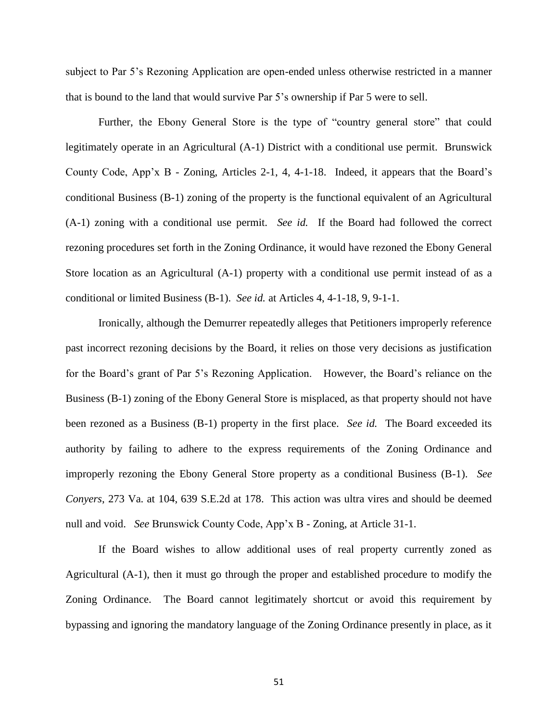subject to Par 5's Rezoning Application are open-ended unless otherwise restricted in a manner that is bound to the land that would survive Par 5's ownership if Par 5 were to sell.

Further, the Ebony General Store is the type of "country general store" that could legitimately operate in an Agricultural (A-1) District with a conditional use permit. Brunswick County Code, App'x B - Zoning, Articles 2-1, 4, 4-1-18. Indeed, it appears that the Board's conditional Business (B-1) zoning of the property is the functional equivalent of an Agricultural (A-1) zoning with a conditional use permit. *See id.* If the Board had followed the correct rezoning procedures set forth in the Zoning Ordinance, it would have rezoned the Ebony General Store location as an Agricultural (A-1) property with a conditional use permit instead of as a conditional or limited Business (B-1). *See id.* at Articles 4, 4-1-18, 9, 9-1-1.

Ironically, although the Demurrer repeatedly alleges that Petitioners improperly reference past incorrect rezoning decisions by the Board, it relies on those very decisions as justification for the Board's grant of Par 5's Rezoning Application. However, the Board's reliance on the Business (B-1) zoning of the Ebony General Store is misplaced, as that property should not have been rezoned as a Business (B-1) property in the first place. *See id.* The Board exceeded its authority by failing to adhere to the express requirements of the Zoning Ordinance and improperly rezoning the Ebony General Store property as a conditional Business (B-1). *See Conyers*, 273 Va. at 104, 639 S.E.2d at 178. This action was ultra vires and should be deemed null and void. *See* Brunswick County Code, App'x B - Zoning, at Article 31-1.

If the Board wishes to allow additional uses of real property currently zoned as Agricultural (A-1), then it must go through the proper and established procedure to modify the Zoning Ordinance. The Board cannot legitimately shortcut or avoid this requirement by bypassing and ignoring the mandatory language of the Zoning Ordinance presently in place, as it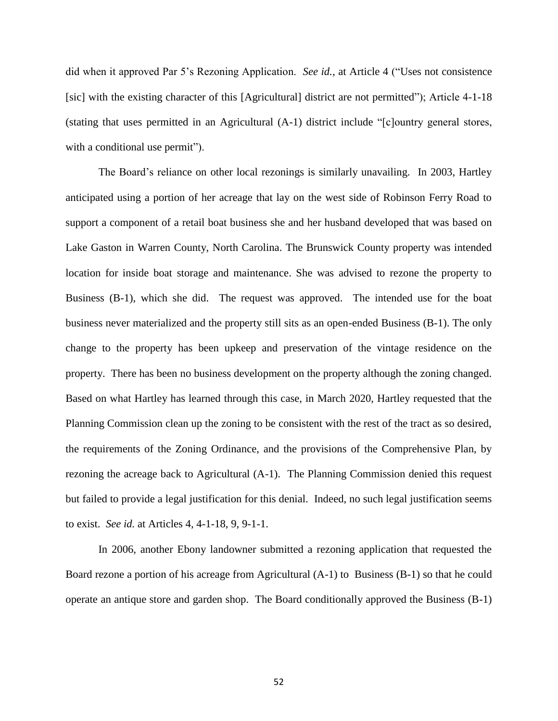did when it approved Par 5's Rezoning Application. *See id.*, at Article 4 ("Uses not consistence [sic] with the existing character of this [Agricultural] district are not permitted"); Article 4-1-18 (stating that uses permitted in an Agricultural (A-1) district include "[c]ountry general stores, with a conditional use permit").

The Board's reliance on other local rezonings is similarly unavailing. In 2003, Hartley anticipated using a portion of her acreage that lay on the west side of Robinson Ferry Road to support a component of a retail boat business she and her husband developed that was based on Lake Gaston in Warren County, North Carolina. The Brunswick County property was intended location for inside boat storage and maintenance. She was advised to rezone the property to Business (B-1), which she did. The request was approved. The intended use for the boat business never materialized and the property still sits as an open-ended Business (B-1). The only change to the property has been upkeep and preservation of the vintage residence on the property. There has been no business development on the property although the zoning changed. Based on what Hartley has learned through this case, in March 2020, Hartley requested that the Planning Commission clean up the zoning to be consistent with the rest of the tract as so desired, the requirements of the Zoning Ordinance, and the provisions of the Comprehensive Plan, by rezoning the acreage back to Agricultural (A-1). The Planning Commission denied this request but failed to provide a legal justification for this denial. Indeed, no such legal justification seems to exist. *See id.* at Articles 4, 4-1-18, 9, 9-1-1.

In 2006, another Ebony landowner submitted a rezoning application that requested the Board rezone a portion of his acreage from Agricultural (A-1) to Business (B-1) so that he could operate an antique store and garden shop. The Board conditionally approved the Business (B-1)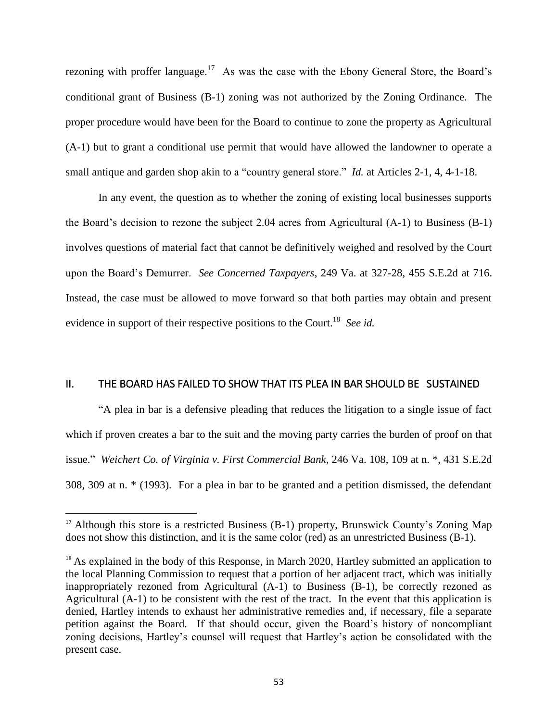rezoning with proffer language.<sup>17</sup> As was the case with the Ebony General Store, the Board's conditional grant of Business (B-1) zoning was not authorized by the Zoning Ordinance. The proper procedure would have been for the Board to continue to zone the property as Agricultural (A-1) but to grant a conditional use permit that would have allowed the landowner to operate a small antique and garden shop akin to a "country general store." *Id.* at Articles 2-1, 4, 4-1-18.

In any event, the question as to whether the zoning of existing local businesses supports the Board's decision to rezone the subject 2.04 acres from Agricultural (A-1) to Business (B-1) involves questions of material fact that cannot be definitively weighed and resolved by the Court upon the Board's Demurrer. *See Concerned Taxpayers*, 249 Va. at 327-28, 455 S.E.2d at 716. Instead, the case must be allowed to move forward so that both parties may obtain and present evidence in support of their respective positions to the Court.<sup>18</sup> See id.

### <span id="page-53-0"></span>II. THE BOARD HAS FAILED TO SHOW THAT ITS PLEA IN BAR SHOULD BE SUSTAINED

"A plea in bar is a defensive pleading that reduces the litigation to a single issue of fact which if proven creates a bar to the suit and the moving party carries the burden of proof on that issue." *Weichert Co. of Virginia v. First Commercial Bank*, 246 Va. 108, 109 at n. \*, 431 S.E.2d 308, 309 at n. \* (1993). For a plea in bar to be granted and a petition dismissed, the defendant

l

<sup>&</sup>lt;sup>17</sup> Although this store is a restricted Business (B-1) property, Brunswick County's Zoning Map does not show this distinction, and it is the same color (red) as an unrestricted Business (B-1).

<sup>&</sup>lt;sup>18</sup> As explained in the body of this Response, in March 2020, Hartley submitted an application to the local Planning Commission to request that a portion of her adjacent tract, which was initially inappropriately rezoned from Agricultural (A-1) to Business (B-1), be correctly rezoned as Agricultural (A-1) to be consistent with the rest of the tract. In the event that this application is denied, Hartley intends to exhaust her administrative remedies and, if necessary, file a separate petition against the Board. If that should occur, given the Board's history of noncompliant zoning decisions, Hartley's counsel will request that Hartley's action be consolidated with the present case.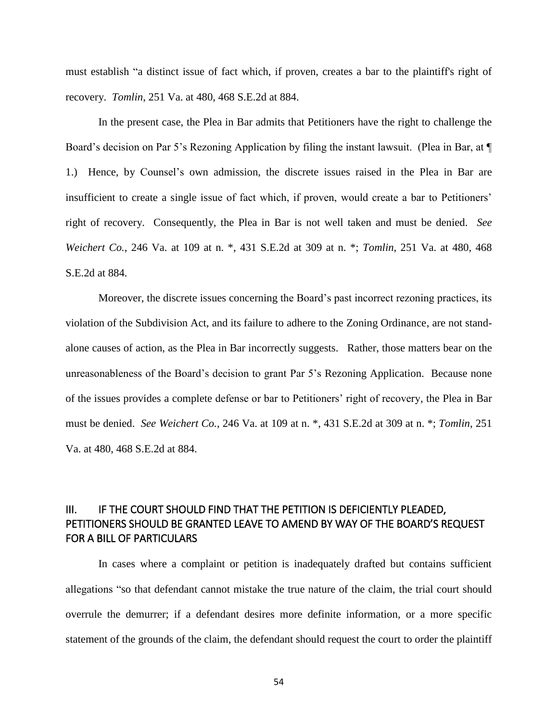must establish "a distinct issue of fact which, if proven, creates a bar to the plaintiff's right of recovery. *Tomlin*, 251 Va. at 480, 468 S.E.2d at 884.

In the present case, the Plea in Bar admits that Petitioners have the right to challenge the Board's decision on Par 5's Rezoning Application by filing the instant lawsuit. (Plea in Bar, at  $\P$ 1.) Hence, by Counsel's own admission, the discrete issues raised in the Plea in Bar are insufficient to create a single issue of fact which, if proven, would create a bar to Petitioners' right of recovery. Consequently, the Plea in Bar is not well taken and must be denied. *See Weichert Co.*, 246 Va. at 109 at n. \*, 431 S.E.2d at 309 at n. \*; *Tomlin*, 251 Va. at 480, 468 S.E.2d at 884.

Moreover, the discrete issues concerning the Board's past incorrect rezoning practices, its violation of the Subdivision Act, and its failure to adhere to the Zoning Ordinance, are not standalone causes of action, as the Plea in Bar incorrectly suggests. Rather, those matters bear on the unreasonableness of the Board's decision to grant Par 5's Rezoning Application. Because none of the issues provides a complete defense or bar to Petitioners' right of recovery, the Plea in Bar must be denied. *See Weichert Co.*, 246 Va. at 109 at n. \*, 431 S.E.2d at 309 at n. \*; *Tomlin*, 251 Va. at 480, 468 S.E.2d at 884.

# <span id="page-54-0"></span>III. IF THE COURT SHOULD FIND THAT THE PETITION IS DEFICIENTLY PLEADED, PETITIONERS SHOULD BE GRANTED LEAVE TO AMEND BY WAY OF THE BOARD'S REQUEST FOR A BILL OF PARTICULARS

In cases where a complaint or petition is inadequately drafted but contains sufficient allegations "so that defendant cannot mistake the true nature of the claim, the trial court should overrule the demurrer; if a defendant desires more definite information, or a more specific statement of the grounds of the claim, the defendant should request the court to order the plaintiff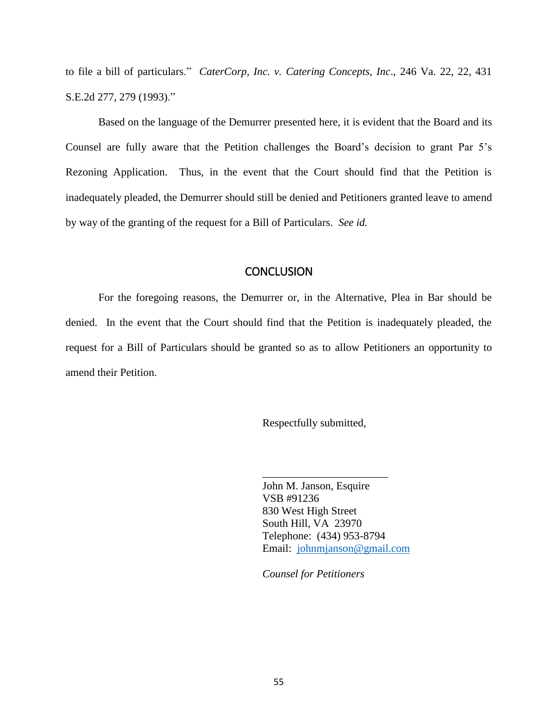to file a bill of particulars." *CaterCorp, Inc. v. Catering Concepts, Inc*., 246 Va. 22, 22, 431 S.E.2d 277, 279 (1993)."

Based on the language of the Demurrer presented here, it is evident that the Board and its Counsel are fully aware that the Petition challenges the Board's decision to grant Par 5's Rezoning Application. Thus, in the event that the Court should find that the Petition is inadequately pleaded, the Demurrer should still be denied and Petitioners granted leave to amend by way of the granting of the request for a Bill of Particulars. *See id.*

### **CONCLUSION**

<span id="page-55-0"></span>For the foregoing reasons, the Demurrer or, in the Alternative, Plea in Bar should be denied. In the event that the Court should find that the Petition is inadequately pleaded, the request for a Bill of Particulars should be granted so as to allow Petitioners an opportunity to amend their Petition.

Respectfully submitted,

John M. Janson, Esquire VSB #91236 830 West High Street South Hill, VA 23970 Telephone: (434) 953-8794 Email: [johnmjanson@gmail.com](about:blank)

\_\_\_\_\_\_\_\_\_\_\_\_\_\_\_\_\_\_\_\_\_\_\_

*Counsel for Petitioners*